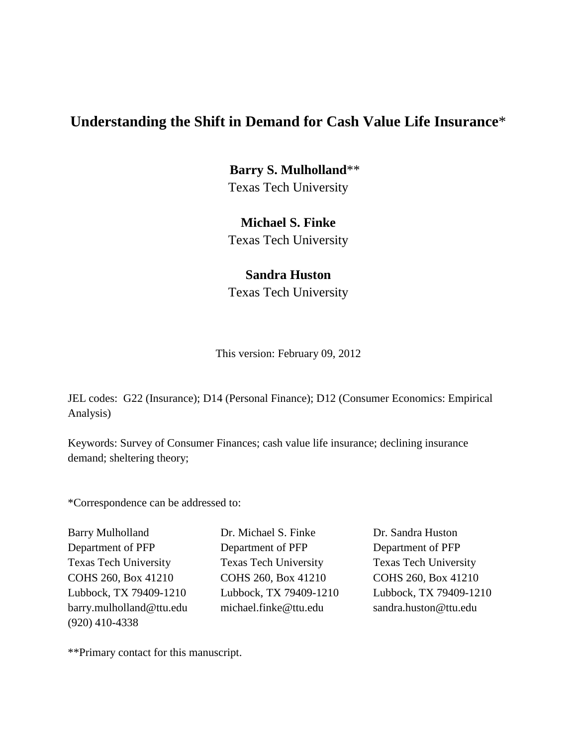**Barry S. Mulholland**\*\* Texas Tech University

# **Michael S. Finke**

Texas Tech University

# **Sandra Huston**

Texas Tech University

This version: February 09, 2012

JEL codes: G22 (Insurance); D14 (Personal Finance); D12 (Consumer Economics: Empirical Analysis)

Keywords: Survey of Consumer Finances; cash value life insurance; declining insurance demand; sheltering theory;

\*Correspondence can be addressed to:

(920) 410-4338

Barry Mulholland Dr. Michael S. Finke Dr. Sandra Huston Department of PFP Department of PFP Department of PFP Texas Tech University Texas Tech University Texas Tech University COHS 260, Box 41210 COHS 260, Box 41210 COHS 260, Box 41210 Lubbock, TX 79409-1210 Lubbock, TX 79409-1210 Lubbock, TX 79409-1210 barry.mulholland@ttu.edu michael.finke@ttu.edu sandra.huston@ttu.edu

\*\*Primary contact for this manuscript.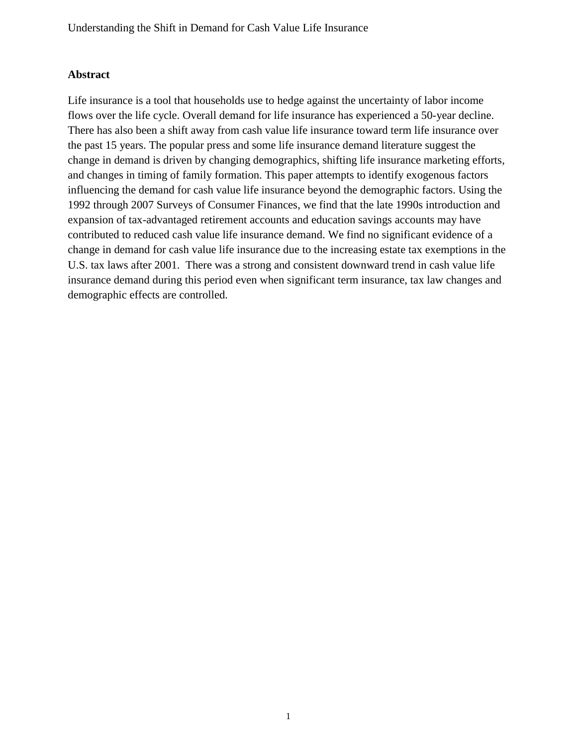# **Abstract**

Life insurance is a tool that households use to hedge against the uncertainty of labor income flows over the life cycle. Overall demand for life insurance has experienced a 50-year decline. There has also been a shift away from cash value life insurance toward term life insurance over the past 15 years. The popular press and some life insurance demand literature suggest the change in demand is driven by changing demographics, shifting life insurance marketing efforts, and changes in timing of family formation. This paper attempts to identify exogenous factors influencing the demand for cash value life insurance beyond the demographic factors. Using the 1992 through 2007 Surveys of Consumer Finances, we find that the late 1990s introduction and expansion of tax-advantaged retirement accounts and education savings accounts may have contributed to reduced cash value life insurance demand. We find no significant evidence of a change in demand for cash value life insurance due to the increasing estate tax exemptions in the U.S. tax laws after 2001. There was a strong and consistent downward trend in cash value life insurance demand during this period even when significant term insurance, tax law changes and demographic effects are controlled.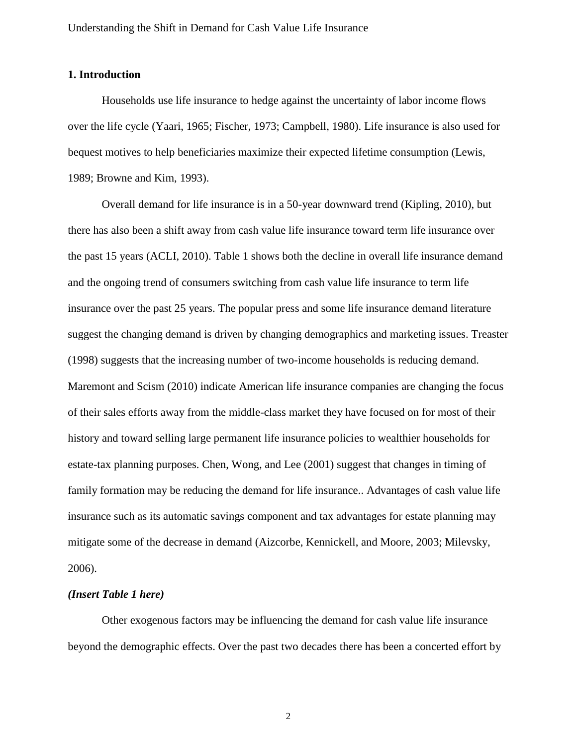## **1. Introduction**

Households use life insurance to hedge against the uncertainty of labor income flows over the life cycle (Yaari, 1965; Fischer, 1973; Campbell, 1980). Life insurance is also used for bequest motives to help beneficiaries maximize their expected lifetime consumption (Lewis, 1989; Browne and Kim, 1993).

Overall demand for life insurance is in a 50-year downward trend (Kipling, 2010), but there has also been a shift away from cash value life insurance toward term life insurance over the past 15 years (ACLI, 2010). Table 1 shows both the decline in overall life insurance demand and the ongoing trend of consumers switching from cash value life insurance to term life insurance over the past 25 years. The popular press and some life insurance demand literature suggest the changing demand is driven by changing demographics and marketing issues. Treaster (1998) suggests that the increasing number of two-income households is reducing demand. Maremont and Scism (2010) indicate American life insurance companies are changing the focus of their sales efforts away from the middle-class market they have focused on for most of their history and toward selling large permanent life insurance policies to wealthier households for estate-tax planning purposes. Chen, Wong, and Lee (2001) suggest that changes in timing of family formation may be reducing the demand for life insurance.. Advantages of cash value life insurance such as its automatic savings component and tax advantages for estate planning may mitigate some of the decrease in demand (Aizcorbe, Kennickell, and Moore, 2003; Milevsky, 2006).

## *(Insert Table 1 here)*

Other exogenous factors may be influencing the demand for cash value life insurance beyond the demographic effects. Over the past two decades there has been a concerted effort by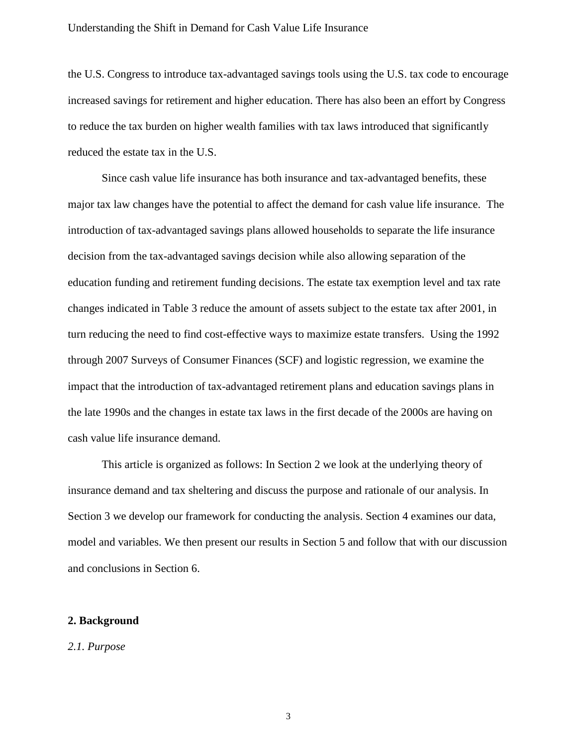the U.S. Congress to introduce tax-advantaged savings tools using the U.S. tax code to encourage increased savings for retirement and higher education. There has also been an effort by Congress to reduce the tax burden on higher wealth families with tax laws introduced that significantly reduced the estate tax in the U.S.

Since cash value life insurance has both insurance and tax-advantaged benefits, these major tax law changes have the potential to affect the demand for cash value life insurance. The introduction of tax-advantaged savings plans allowed households to separate the life insurance decision from the tax-advantaged savings decision while also allowing separation of the education funding and retirement funding decisions. The estate tax exemption level and tax rate changes indicated in Table 3 reduce the amount of assets subject to the estate tax after 2001, in turn reducing the need to find cost-effective ways to maximize estate transfers. Using the 1992 through 2007 Surveys of Consumer Finances (SCF) and logistic regression, we examine the impact that the introduction of tax-advantaged retirement plans and education savings plans in the late 1990s and the changes in estate tax laws in the first decade of the 2000s are having on cash value life insurance demand.

This article is organized as follows: In Section 2 we look at the underlying theory of insurance demand and tax sheltering and discuss the purpose and rationale of our analysis. In Section 3 we develop our framework for conducting the analysis. Section 4 examines our data, model and variables. We then present our results in Section 5 and follow that with our discussion and conclusions in Section 6.

## **2. Background**

#### *2.1. Purpose*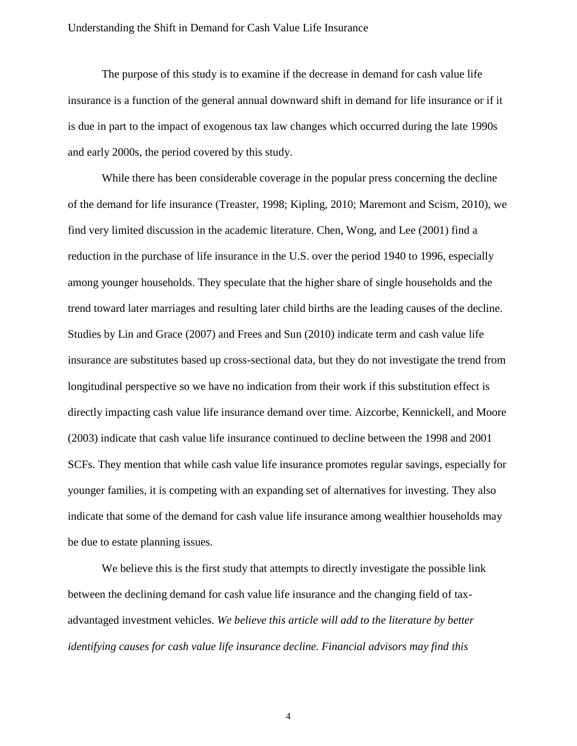The purpose of this study is to examine if the decrease in demand for cash value life insurance is a function of the general annual downward shift in demand for life insurance or if it is due in part to the impact of exogenous tax law changes which occurred during the late 1990s and early 2000s, the period covered by this study.

While there has been considerable coverage in the popular press concerning the decline of the demand for life insurance (Treaster, 1998; Kipling, 2010; Maremont and Scism, 2010), we find very limited discussion in the academic literature. Chen, Wong, and Lee (2001) find a reduction in the purchase of life insurance in the U.S. over the period 1940 to 1996, especially among younger households. They speculate that the higher share of single households and the trend toward later marriages and resulting later child births are the leading causes of the decline. Studies by Lin and Grace (2007) and Frees and Sun (2010) indicate term and cash value life insurance are substitutes based up cross-sectional data, but they do not investigate the trend from longitudinal perspective so we have no indication from their work if this substitution effect is directly impacting cash value life insurance demand over time. Aizcorbe, Kennickell, and Moore (2003) indicate that cash value life insurance continued to decline between the 1998 and 2001 SCFs. They mention that while cash value life insurance promotes regular savings, especially for younger families, it is competing with an expanding set of alternatives for investing. They also indicate that some of the demand for cash value life insurance among wealthier households may be due to estate planning issues.

We believe this is the first study that attempts to directly investigate the possible link between the declining demand for cash value life insurance and the changing field of taxadvantaged investment vehicles. *We believe this article will add to the literature by better identifying causes for cash value life insurance decline. Financial advisors may find this*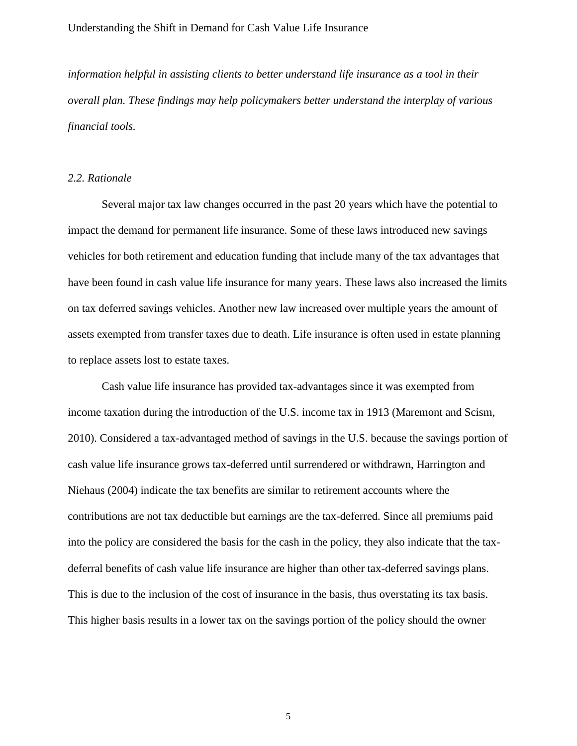*information helpful in assisting clients to better understand life insurance as a tool in their overall plan. These findings may help policymakers better understand the interplay of various financial tools.*

## *2.2. Rationale*

Several major tax law changes occurred in the past 20 years which have the potential to impact the demand for permanent life insurance. Some of these laws introduced new savings vehicles for both retirement and education funding that include many of the tax advantages that have been found in cash value life insurance for many years. These laws also increased the limits on tax deferred savings vehicles. Another new law increased over multiple years the amount of assets exempted from transfer taxes due to death. Life insurance is often used in estate planning to replace assets lost to estate taxes.

Cash value life insurance has provided tax-advantages since it was exempted from income taxation during the introduction of the U.S. income tax in 1913 (Maremont and Scism, 2010). Considered a tax-advantaged method of savings in the U.S. because the savings portion of cash value life insurance grows tax-deferred until surrendered or withdrawn, Harrington and Niehaus (2004) indicate the tax benefits are similar to retirement accounts where the contributions are not tax deductible but earnings are the tax-deferred. Since all premiums paid into the policy are considered the basis for the cash in the policy, they also indicate that the taxdeferral benefits of cash value life insurance are higher than other tax-deferred savings plans. This is due to the inclusion of the cost of insurance in the basis, thus overstating its tax basis. This higher basis results in a lower tax on the savings portion of the policy should the owner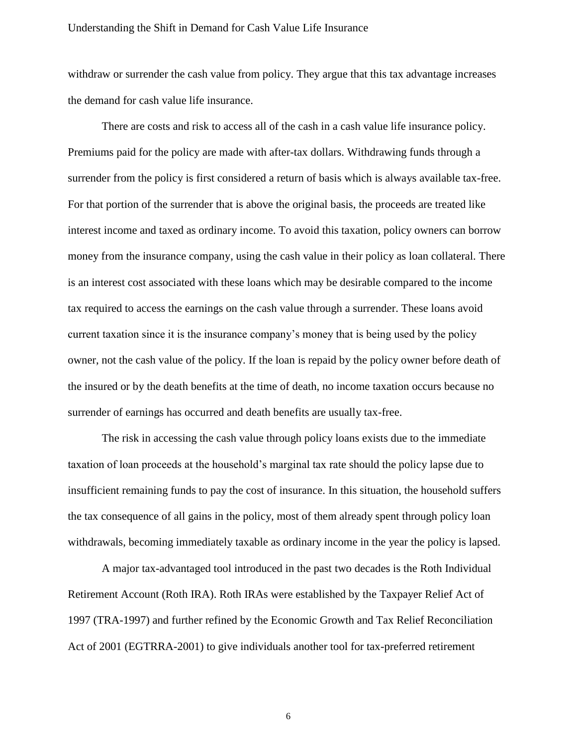withdraw or surrender the cash value from policy. They argue that this tax advantage increases the demand for cash value life insurance.

There are costs and risk to access all of the cash in a cash value life insurance policy. Premiums paid for the policy are made with after-tax dollars. Withdrawing funds through a surrender from the policy is first considered a return of basis which is always available tax-free. For that portion of the surrender that is above the original basis, the proceeds are treated like interest income and taxed as ordinary income. To avoid this taxation, policy owners can borrow money from the insurance company, using the cash value in their policy as loan collateral. There is an interest cost associated with these loans which may be desirable compared to the income tax required to access the earnings on the cash value through a surrender. These loans avoid current taxation since it is the insurance company's money that is being used by the policy owner, not the cash value of the policy. If the loan is repaid by the policy owner before death of the insured or by the death benefits at the time of death, no income taxation occurs because no surrender of earnings has occurred and death benefits are usually tax-free.

The risk in accessing the cash value through policy loans exists due to the immediate taxation of loan proceeds at the household's marginal tax rate should the policy lapse due to insufficient remaining funds to pay the cost of insurance. In this situation, the household suffers the tax consequence of all gains in the policy, most of them already spent through policy loan withdrawals, becoming immediately taxable as ordinary income in the year the policy is lapsed.

A major tax-advantaged tool introduced in the past two decades is the Roth Individual Retirement Account (Roth IRA). Roth IRAs were established by the Taxpayer Relief Act of 1997 (TRA-1997) and further refined by the Economic Growth and Tax Relief Reconciliation Act of 2001 (EGTRRA-2001) to give individuals another tool for tax-preferred retirement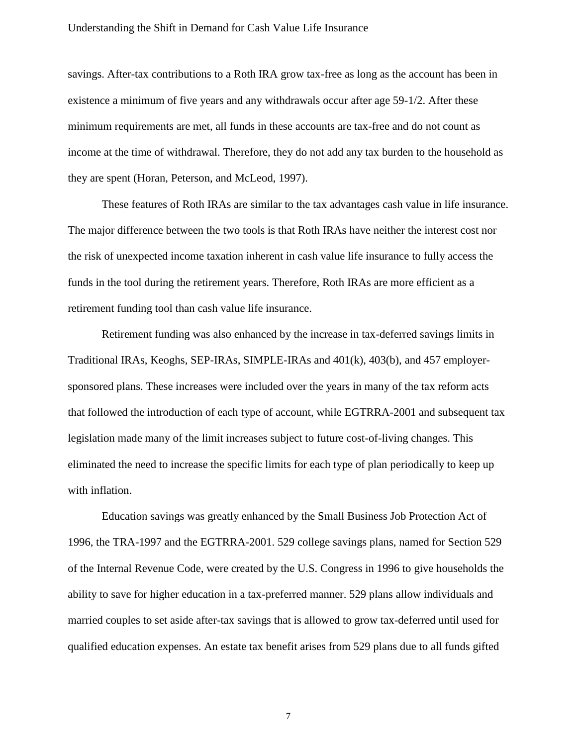savings. After-tax contributions to a Roth IRA grow tax-free as long as the account has been in existence a minimum of five years and any withdrawals occur after age 59-1/2. After these minimum requirements are met, all funds in these accounts are tax-free and do not count as income at the time of withdrawal. Therefore, they do not add any tax burden to the household as they are spent (Horan, Peterson, and McLeod, 1997).

These features of Roth IRAs are similar to the tax advantages cash value in life insurance. The major difference between the two tools is that Roth IRAs have neither the interest cost nor the risk of unexpected income taxation inherent in cash value life insurance to fully access the funds in the tool during the retirement years. Therefore, Roth IRAs are more efficient as a retirement funding tool than cash value life insurance.

Retirement funding was also enhanced by the increase in tax-deferred savings limits in Traditional IRAs, Keoghs, SEP-IRAs, SIMPLE-IRAs and 401(k), 403(b), and 457 employersponsored plans. These increases were included over the years in many of the tax reform acts that followed the introduction of each type of account, while EGTRRA-2001 and subsequent tax legislation made many of the limit increases subject to future cost-of-living changes. This eliminated the need to increase the specific limits for each type of plan periodically to keep up with inflation.

Education savings was greatly enhanced by the Small Business Job Protection Act of 1996, the TRA-1997 and the EGTRRA-2001. 529 college savings plans, named for Section 529 of the Internal Revenue Code, were created by the U.S. Congress in 1996 to give households the ability to save for higher education in a tax-preferred manner. 529 plans allow individuals and married couples to set aside after-tax savings that is allowed to grow tax-deferred until used for qualified education expenses. An estate tax benefit arises from 529 plans due to all funds gifted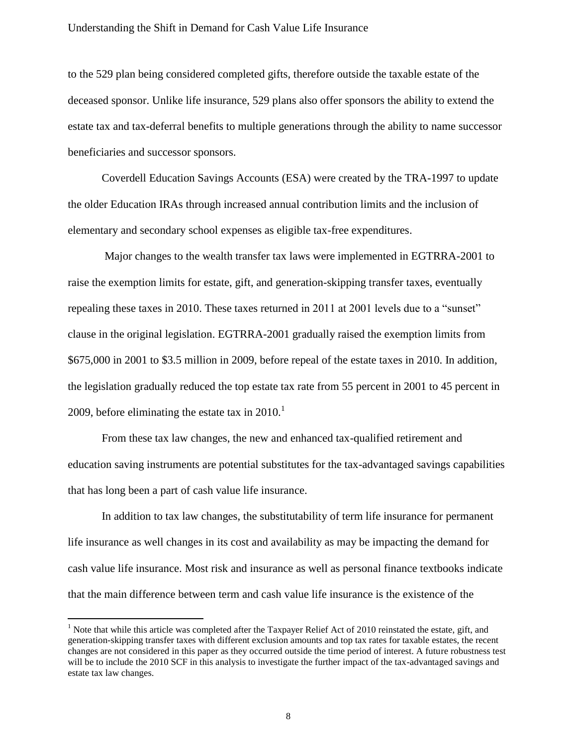to the 529 plan being considered completed gifts, therefore outside the taxable estate of the deceased sponsor. Unlike life insurance, 529 plans also offer sponsors the ability to extend the estate tax and tax-deferral benefits to multiple generations through the ability to name successor beneficiaries and successor sponsors.

Coverdell Education Savings Accounts (ESA) were created by the TRA-1997 to update the older Education IRAs through increased annual contribution limits and the inclusion of elementary and secondary school expenses as eligible tax-free expenditures.

Major changes to the wealth transfer tax laws were implemented in EGTRRA-2001 to raise the exemption limits for estate, gift, and generation-skipping transfer taxes, eventually repealing these taxes in 2010. These taxes returned in 2011 at 2001 levels due to a "sunset" clause in the original legislation. EGTRRA-2001 gradually raised the exemption limits from \$675,000 in 2001 to \$3.5 million in 2009, before repeal of the estate taxes in 2010. In addition, the legislation gradually reduced the top estate tax rate from 55 percent in 2001 to 45 percent in 2009, before eliminating the estate tax in  $2010$ .<sup>1</sup>

From these tax law changes, the new and enhanced tax-qualified retirement and education saving instruments are potential substitutes for the tax-advantaged savings capabilities that has long been a part of cash value life insurance.

In addition to tax law changes, the substitutability of term life insurance for permanent life insurance as well changes in its cost and availability as may be impacting the demand for cash value life insurance. Most risk and insurance as well as personal finance textbooks indicate that the main difference between term and cash value life insurance is the existence of the

 $\overline{a}$ 

 $<sup>1</sup>$  Note that while this article was completed after the Taxpayer Relief Act of 2010 reinstated the estate, gift, and</sup> generation-skipping transfer taxes with different exclusion amounts and top tax rates for taxable estates, the recent changes are not considered in this paper as they occurred outside the time period of interest. A future robustness test will be to include the 2010 SCF in this analysis to investigate the further impact of the tax-advantaged savings and estate tax law changes.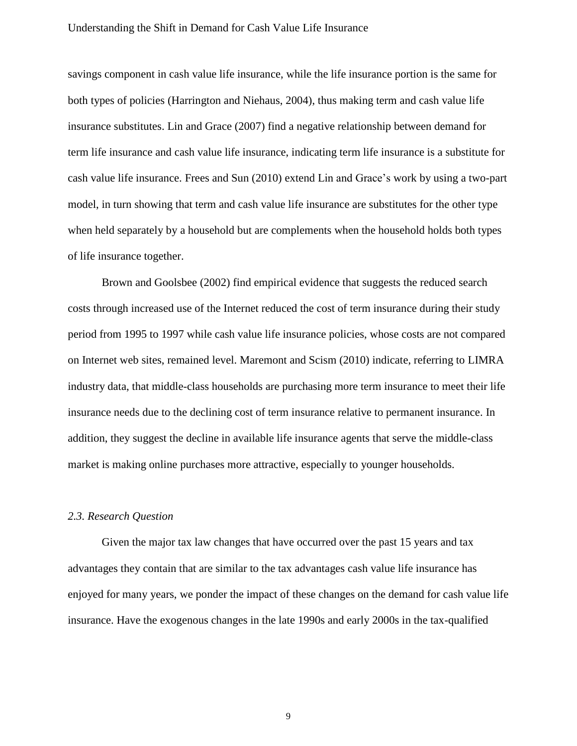savings component in cash value life insurance, while the life insurance portion is the same for both types of policies (Harrington and Niehaus, 2004), thus making term and cash value life insurance substitutes. Lin and Grace (2007) find a negative relationship between demand for term life insurance and cash value life insurance, indicating term life insurance is a substitute for cash value life insurance. Frees and Sun (2010) extend Lin and Grace's work by using a two-part model, in turn showing that term and cash value life insurance are substitutes for the other type when held separately by a household but are complements when the household holds both types of life insurance together.

Brown and Goolsbee (2002) find empirical evidence that suggests the reduced search costs through increased use of the Internet reduced the cost of term insurance during their study period from 1995 to 1997 while cash value life insurance policies, whose costs are not compared on Internet web sites, remained level. Maremont and Scism (2010) indicate, referring to LIMRA industry data, that middle-class households are purchasing more term insurance to meet their life insurance needs due to the declining cost of term insurance relative to permanent insurance. In addition, they suggest the decline in available life insurance agents that serve the middle-class market is making online purchases more attractive, especially to younger households.

# *2.3. Research Question*

Given the major tax law changes that have occurred over the past 15 years and tax advantages they contain that are similar to the tax advantages cash value life insurance has enjoyed for many years, we ponder the impact of these changes on the demand for cash value life insurance. Have the exogenous changes in the late 1990s and early 2000s in the tax-qualified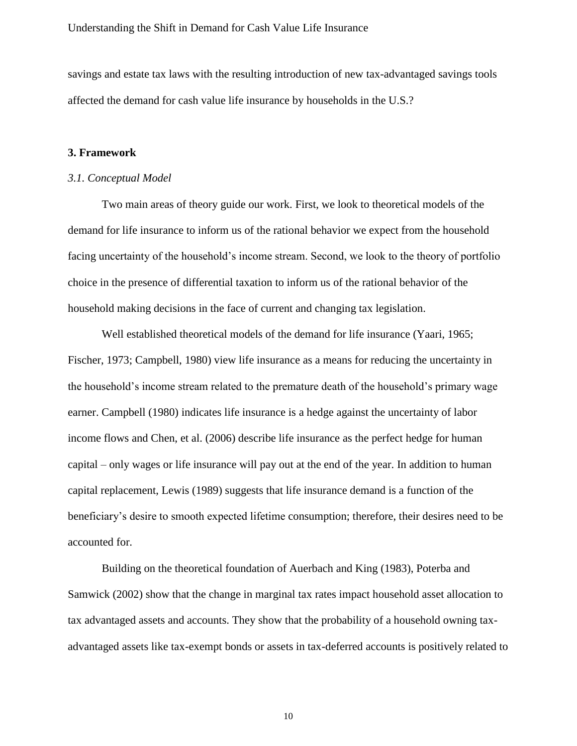savings and estate tax laws with the resulting introduction of new tax-advantaged savings tools affected the demand for cash value life insurance by households in the U.S.?

#### **3. Framework**

#### *3.1. Conceptual Model*

Two main areas of theory guide our work. First, we look to theoretical models of the demand for life insurance to inform us of the rational behavior we expect from the household facing uncertainty of the household's income stream. Second, we look to the theory of portfolio choice in the presence of differential taxation to inform us of the rational behavior of the household making decisions in the face of current and changing tax legislation.

Well established theoretical models of the demand for life insurance (Yaari, 1965; Fischer, 1973; Campbell, 1980) view life insurance as a means for reducing the uncertainty in the household's income stream related to the premature death of the household's primary wage earner. Campbell (1980) indicates life insurance is a hedge against the uncertainty of labor income flows and Chen, et al. (2006) describe life insurance as the perfect hedge for human capital – only wages or life insurance will pay out at the end of the year. In addition to human capital replacement, Lewis (1989) suggests that life insurance demand is a function of the beneficiary's desire to smooth expected lifetime consumption; therefore, their desires need to be accounted for.

Building on the theoretical foundation of Auerbach and King (1983), Poterba and Samwick (2002) show that the change in marginal tax rates impact household asset allocation to tax advantaged assets and accounts. They show that the probability of a household owning taxadvantaged assets like tax-exempt bonds or assets in tax-deferred accounts is positively related to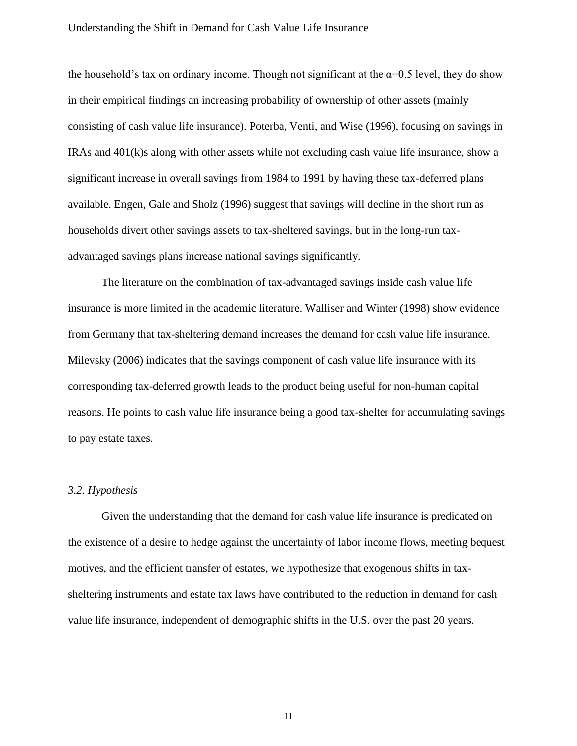the household's tax on ordinary income. Though not significant at the  $\alpha=0.5$  level, they do show in their empirical findings an increasing probability of ownership of other assets (mainly consisting of cash value life insurance). Poterba, Venti, and Wise (1996), focusing on savings in IRAs and 401(k)s along with other assets while not excluding cash value life insurance, show a significant increase in overall savings from 1984 to 1991 by having these tax-deferred plans available. Engen, Gale and Sholz (1996) suggest that savings will decline in the short run as households divert other savings assets to tax-sheltered savings, but in the long-run taxadvantaged savings plans increase national savings significantly.

The literature on the combination of tax-advantaged savings inside cash value life insurance is more limited in the academic literature. Walliser and Winter (1998) show evidence from Germany that tax-sheltering demand increases the demand for cash value life insurance. Milevsky (2006) indicates that the savings component of cash value life insurance with its corresponding tax-deferred growth leads to the product being useful for non-human capital reasons. He points to cash value life insurance being a good tax-shelter for accumulating savings to pay estate taxes.

#### *3.2. Hypothesis*

Given the understanding that the demand for cash value life insurance is predicated on the existence of a desire to hedge against the uncertainty of labor income flows, meeting bequest motives, and the efficient transfer of estates, we hypothesize that exogenous shifts in taxsheltering instruments and estate tax laws have contributed to the reduction in demand for cash value life insurance, independent of demographic shifts in the U.S. over the past 20 years.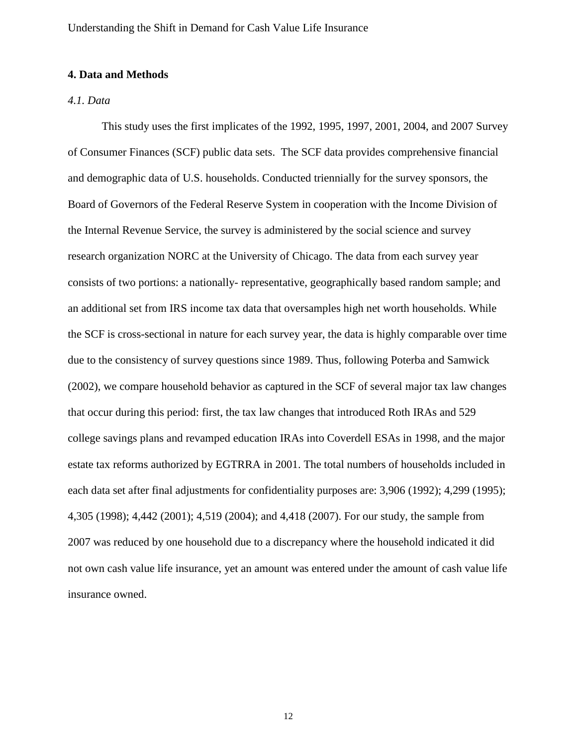# **4. Data and Methods**

# *4.1. Data*

This study uses the first implicates of the 1992, 1995, 1997, 2001, 2004, and 2007 Survey of Consumer Finances (SCF) public data sets. The SCF data provides comprehensive financial and demographic data of U.S. households. Conducted triennially for the survey sponsors, the Board of Governors of the Federal Reserve System in cooperation with the Income Division of the Internal Revenue Service, the survey is administered by the social science and survey research organization NORC at the University of Chicago. The data from each survey year consists of two portions: a nationally- representative, geographically based random sample; and an additional set from IRS income tax data that oversamples high net worth households. While the SCF is cross-sectional in nature for each survey year, the data is highly comparable over time due to the consistency of survey questions since 1989. Thus, following Poterba and Samwick (2002), we compare household behavior as captured in the SCF of several major tax law changes that occur during this period: first, the tax law changes that introduced Roth IRAs and 529 college savings plans and revamped education IRAs into Coverdell ESAs in 1998, and the major estate tax reforms authorized by EGTRRA in 2001. The total numbers of households included in each data set after final adjustments for confidentiality purposes are: 3,906 (1992); 4,299 (1995); 4,305 (1998); 4,442 (2001); 4,519 (2004); and 4,418 (2007). For our study, the sample from 2007 was reduced by one household due to a discrepancy where the household indicated it did not own cash value life insurance, yet an amount was entered under the amount of cash value life insurance owned.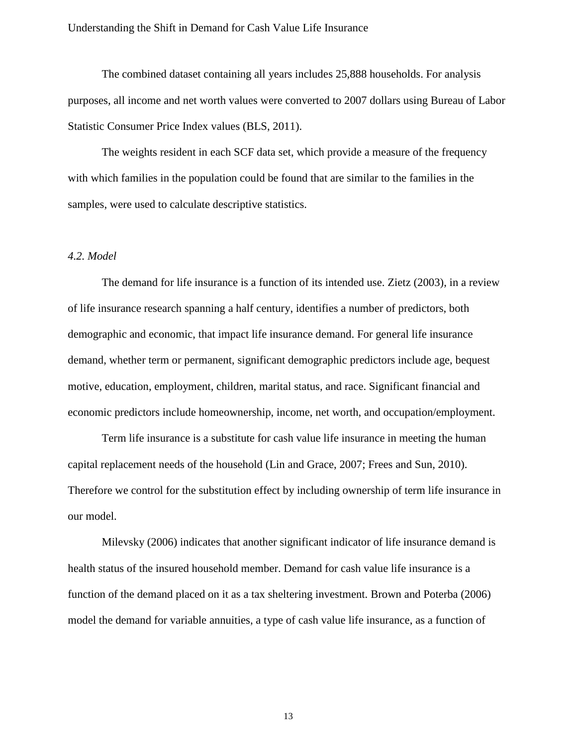The combined dataset containing all years includes 25,888 households. For analysis purposes, all income and net worth values were converted to 2007 dollars using Bureau of Labor Statistic Consumer Price Index values (BLS, 2011).

The weights resident in each SCF data set, which provide a measure of the frequency with which families in the population could be found that are similar to the families in the samples, were used to calculate descriptive statistics.

## *4.2. Model*

The demand for life insurance is a function of its intended use. Zietz (2003), in a review of life insurance research spanning a half century, identifies a number of predictors, both demographic and economic, that impact life insurance demand. For general life insurance demand, whether term or permanent, significant demographic predictors include age, bequest motive, education, employment, children, marital status, and race. Significant financial and economic predictors include homeownership, income, net worth, and occupation/employment.

Term life insurance is a substitute for cash value life insurance in meeting the human capital replacement needs of the household (Lin and Grace, 2007; Frees and Sun, 2010). Therefore we control for the substitution effect by including ownership of term life insurance in our model.

Milevsky (2006) indicates that another significant indicator of life insurance demand is health status of the insured household member. Demand for cash value life insurance is a function of the demand placed on it as a tax sheltering investment. Brown and Poterba (2006) model the demand for variable annuities, a type of cash value life insurance, as a function of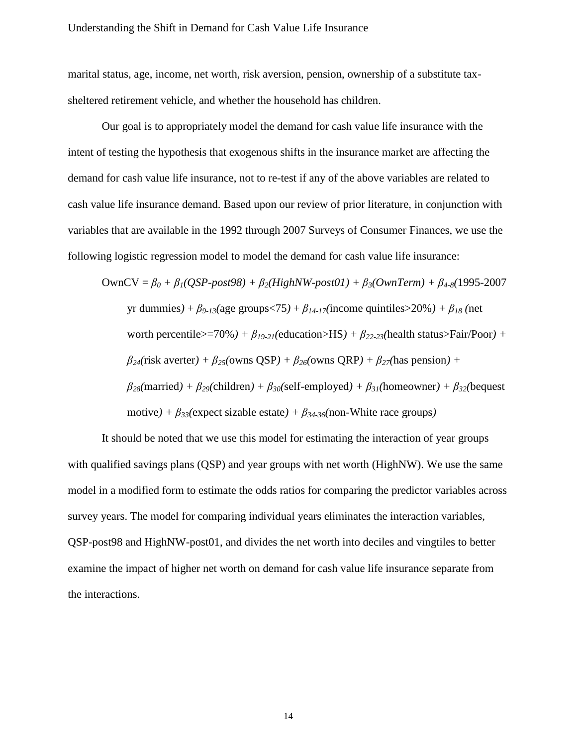marital status, age, income, net worth, risk aversion, pension, ownership of a substitute taxsheltered retirement vehicle, and whether the household has children.

Our goal is to appropriately model the demand for cash value life insurance with the intent of testing the hypothesis that exogenous shifts in the insurance market are affecting the demand for cash value life insurance, not to re-test if any of the above variables are related to cash value life insurance demand. Based upon our review of prior literature, in conjunction with variables that are available in the 1992 through 2007 Surveys of Consumer Finances, we use the following logistic regression model to model the demand for cash value life insurance:

$$
OwnCV = \beta_0 + \beta_1(QSP-post98) + \beta_2(HighNW-post01) + \beta_3(OwnTerm) + \beta_{4-8}(1995-2007)
$$
  
yr dummies) +  $\beta_{9-13}$ (age groups<75) +  $\beta_{14-17}$ (income quintiles>20%) +  $\beta_{18}$  (net  
worth percentile> = 70%) +  $\beta_{19-21}$ (education>HS) +  $\beta_{22-23}$ (health status> = Fair/Poor) +  
 $\beta_{24}$ (risk averter) +  $\beta_{25}$ (owns QSP) +  $\beta_{26}$ (owns QRP) +  $\beta_{27}$ (has pension) +  
 $\beta_{28}$ (married) +  $\beta_{29}$ (children) +  $\beta_{30}$ (self-employed) +  $\beta_{31}$ (homeowner) +  $\beta_{32}$ (bequest  
motive) +  $\beta_{33}$ (expect sizable estate) +  $\beta_{34-36}$ (non-White race groups)

It should be noted that we use this model for estimating the interaction of year groups with qualified savings plans (QSP) and year groups with net worth (HighNW). We use the same model in a modified form to estimate the odds ratios for comparing the predictor variables across survey years. The model for comparing individual years eliminates the interaction variables, QSP-post98 and HighNW-post01, and divides the net worth into deciles and vingtiles to better examine the impact of higher net worth on demand for cash value life insurance separate from the interactions.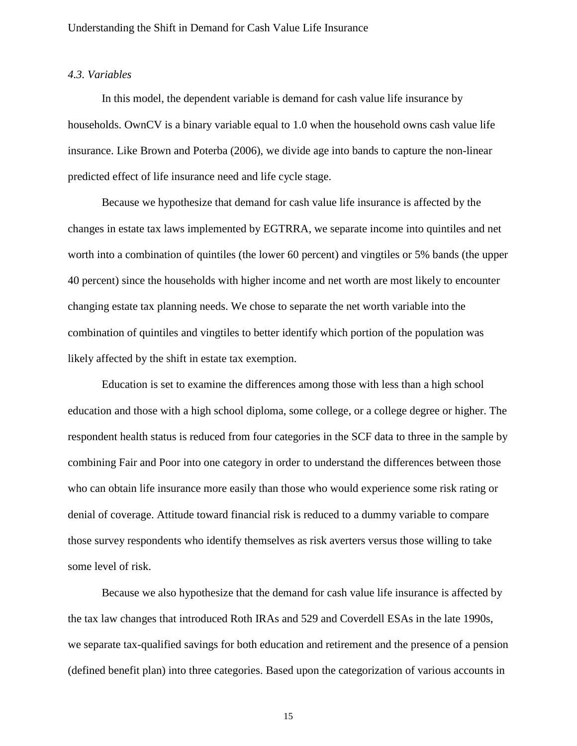# *4.3. Variables*

In this model, the dependent variable is demand for cash value life insurance by households. OwnCV is a binary variable equal to 1.0 when the household owns cash value life insurance. Like Brown and Poterba (2006), we divide age into bands to capture the non-linear predicted effect of life insurance need and life cycle stage.

Because we hypothesize that demand for cash value life insurance is affected by the changes in estate tax laws implemented by EGTRRA, we separate income into quintiles and net worth into a combination of quintiles (the lower 60 percent) and vingtiles or 5% bands (the upper 40 percent) since the households with higher income and net worth are most likely to encounter changing estate tax planning needs. We chose to separate the net worth variable into the combination of quintiles and vingtiles to better identify which portion of the population was likely affected by the shift in estate tax exemption.

Education is set to examine the differences among those with less than a high school education and those with a high school diploma, some college, or a college degree or higher. The respondent health status is reduced from four categories in the SCF data to three in the sample by combining Fair and Poor into one category in order to understand the differences between those who can obtain life insurance more easily than those who would experience some risk rating or denial of coverage. Attitude toward financial risk is reduced to a dummy variable to compare those survey respondents who identify themselves as risk averters versus those willing to take some level of risk.

Because we also hypothesize that the demand for cash value life insurance is affected by the tax law changes that introduced Roth IRAs and 529 and Coverdell ESAs in the late 1990s, we separate tax-qualified savings for both education and retirement and the presence of a pension (defined benefit plan) into three categories. Based upon the categorization of various accounts in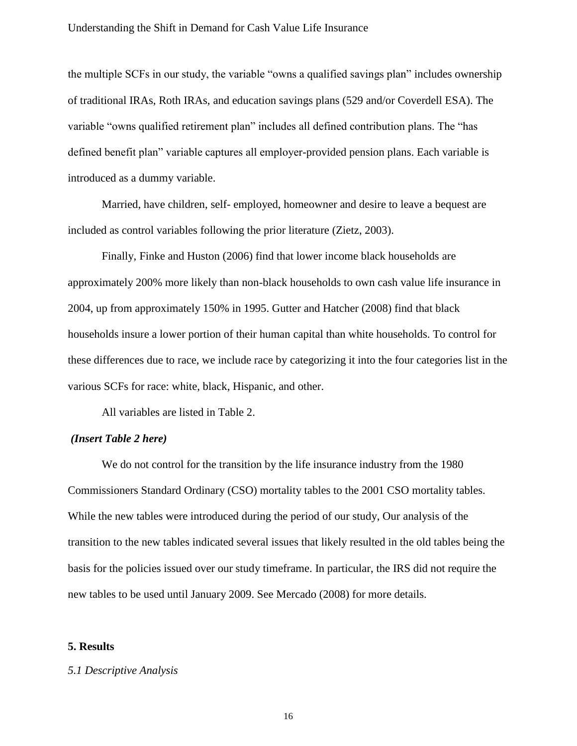the multiple SCFs in our study, the variable "owns a qualified savings plan" includes ownership of traditional IRAs, Roth IRAs, and education savings plans (529 and/or Coverdell ESA). The variable "owns qualified retirement plan" includes all defined contribution plans. The "has defined benefit plan" variable captures all employer-provided pension plans. Each variable is introduced as a dummy variable.

Married, have children, self- employed, homeowner and desire to leave a bequest are included as control variables following the prior literature (Zietz, 2003).

Finally, Finke and Huston (2006) find that lower income black households are approximately 200% more likely than non-black households to own cash value life insurance in 2004, up from approximately 150% in 1995. Gutter and Hatcher (2008) find that black households insure a lower portion of their human capital than white households. To control for these differences due to race, we include race by categorizing it into the four categories list in the various SCFs for race: white, black, Hispanic, and other.

All variables are listed in Table 2.

#### *(Insert Table 2 here)*

We do not control for the transition by the life insurance industry from the 1980 Commissioners Standard Ordinary (CSO) mortality tables to the 2001 CSO mortality tables. While the new tables were introduced during the period of our study, Our analysis of the transition to the new tables indicated several issues that likely resulted in the old tables being the basis for the policies issued over our study timeframe. In particular, the IRS did not require the new tables to be used until January 2009. See Mercado (2008) for more details.

# **5. Results**

#### *5.1 Descriptive Analysis*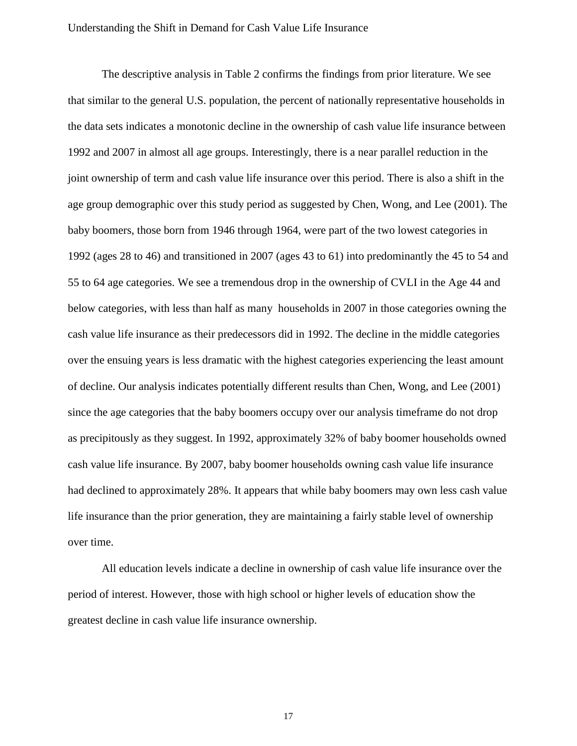The descriptive analysis in Table 2 confirms the findings from prior literature. We see that similar to the general U.S. population, the percent of nationally representative households in the data sets indicates a monotonic decline in the ownership of cash value life insurance between 1992 and 2007 in almost all age groups. Interestingly, there is a near parallel reduction in the joint ownership of term and cash value life insurance over this period. There is also a shift in the age group demographic over this study period as suggested by Chen, Wong, and Lee (2001). The baby boomers, those born from 1946 through 1964, were part of the two lowest categories in 1992 (ages 28 to 46) and transitioned in 2007 (ages 43 to 61) into predominantly the 45 to 54 and 55 to 64 age categories. We see a tremendous drop in the ownership of CVLI in the Age 44 and below categories, with less than half as many households in 2007 in those categories owning the cash value life insurance as their predecessors did in 1992. The decline in the middle categories over the ensuing years is less dramatic with the highest categories experiencing the least amount of decline. Our analysis indicates potentially different results than Chen, Wong, and Lee (2001) since the age categories that the baby boomers occupy over our analysis timeframe do not drop as precipitously as they suggest. In 1992, approximately 32% of baby boomer households owned cash value life insurance. By 2007, baby boomer households owning cash value life insurance had declined to approximately 28%. It appears that while baby boomers may own less cash value life insurance than the prior generation, they are maintaining a fairly stable level of ownership over time.

All education levels indicate a decline in ownership of cash value life insurance over the period of interest. However, those with high school or higher levels of education show the greatest decline in cash value life insurance ownership.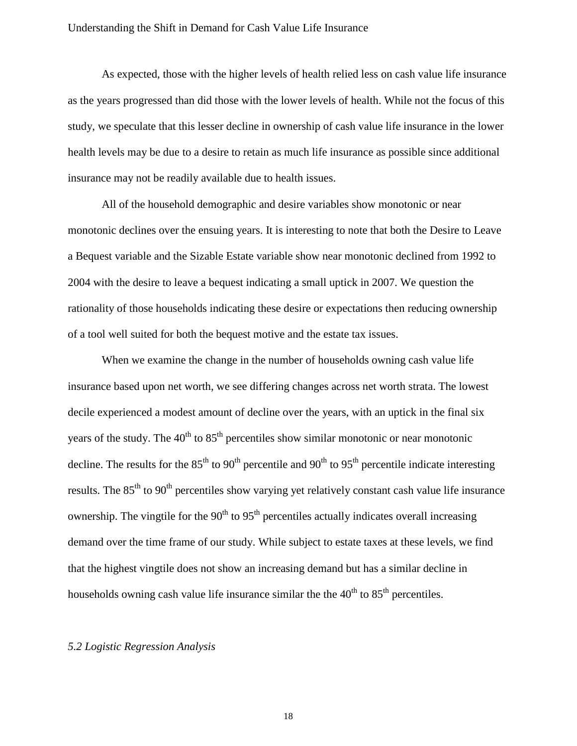As expected, those with the higher levels of health relied less on cash value life insurance as the years progressed than did those with the lower levels of health. While not the focus of this study, we speculate that this lesser decline in ownership of cash value life insurance in the lower health levels may be due to a desire to retain as much life insurance as possible since additional insurance may not be readily available due to health issues.

All of the household demographic and desire variables show monotonic or near monotonic declines over the ensuing years. It is interesting to note that both the Desire to Leave a Bequest variable and the Sizable Estate variable show near monotonic declined from 1992 to 2004 with the desire to leave a bequest indicating a small uptick in 2007. We question the rationality of those households indicating these desire or expectations then reducing ownership of a tool well suited for both the bequest motive and the estate tax issues.

When we examine the change in the number of households owning cash value life insurance based upon net worth, we see differing changes across net worth strata. The lowest decile experienced a modest amount of decline over the years, with an uptick in the final six years of the study. The  $40<sup>th</sup>$  to  $85<sup>th</sup>$  percentiles show similar monotonic or near monotonic decline. The results for the  $85<sup>th</sup>$  to  $90<sup>th</sup>$  percentile and  $90<sup>th</sup>$  to  $95<sup>th</sup>$  percentile indicate interesting results. The  $85<sup>th</sup>$  to  $90<sup>th</sup>$  percentiles show varying yet relatively constant cash value life insurance ownership. The vingtile for the 90<sup>th</sup> to 95<sup>th</sup> percentiles actually indicates overall increasing demand over the time frame of our study. While subject to estate taxes at these levels, we find that the highest vingtile does not show an increasing demand but has a similar decline in households owning cash value life insurance similar the the  $40<sup>th</sup>$  to  $85<sup>th</sup>$  percentiles.

# *5.2 Logistic Regression Analysis*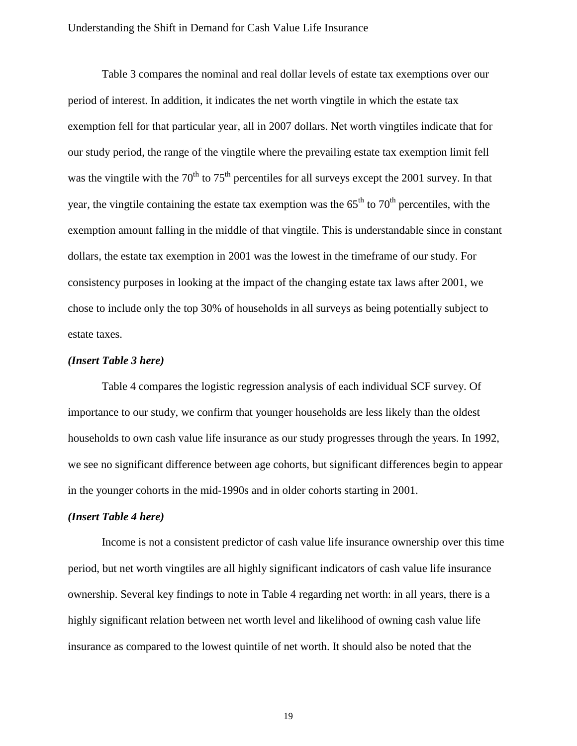Table 3 compares the nominal and real dollar levels of estate tax exemptions over our period of interest. In addition, it indicates the net worth vingtile in which the estate tax exemption fell for that particular year, all in 2007 dollars. Net worth vingtiles indicate that for our study period, the range of the vingtile where the prevailing estate tax exemption limit fell was the vingtile with the  $70<sup>th</sup>$  to  $75<sup>th</sup>$  percentiles for all surveys except the 2001 survey. In that year, the vingtile containing the estate tax exemption was the  $65<sup>th</sup>$  to  $70<sup>th</sup>$  percentiles, with the exemption amount falling in the middle of that vingtile. This is understandable since in constant dollars, the estate tax exemption in 2001 was the lowest in the timeframe of our study. For consistency purposes in looking at the impact of the changing estate tax laws after 2001, we chose to include only the top 30% of households in all surveys as being potentially subject to estate taxes.

#### *(Insert Table 3 here)*

Table 4 compares the logistic regression analysis of each individual SCF survey. Of importance to our study, we confirm that younger households are less likely than the oldest households to own cash value life insurance as our study progresses through the years. In 1992, we see no significant difference between age cohorts, but significant differences begin to appear in the younger cohorts in the mid-1990s and in older cohorts starting in 2001.

#### *(Insert Table 4 here)*

Income is not a consistent predictor of cash value life insurance ownership over this time period, but net worth vingtiles are all highly significant indicators of cash value life insurance ownership. Several key findings to note in Table 4 regarding net worth: in all years, there is a highly significant relation between net worth level and likelihood of owning cash value life insurance as compared to the lowest quintile of net worth. It should also be noted that the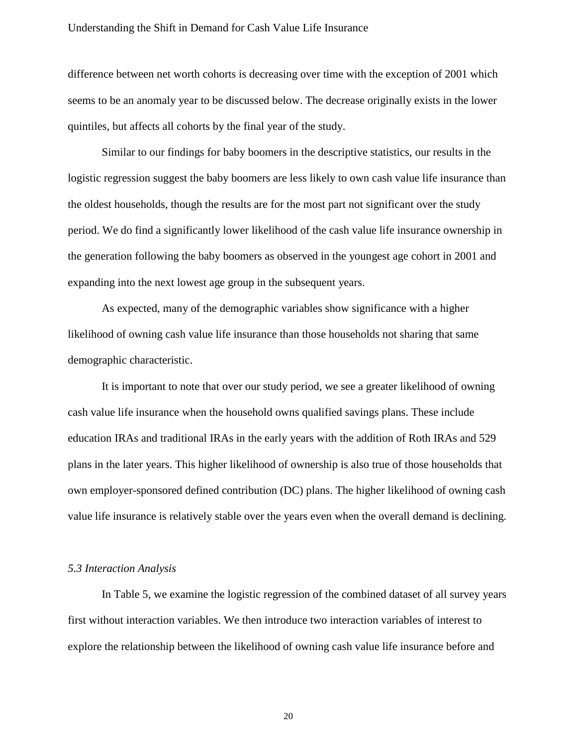difference between net worth cohorts is decreasing over time with the exception of 2001 which seems to be an anomaly year to be discussed below. The decrease originally exists in the lower quintiles, but affects all cohorts by the final year of the study.

Similar to our findings for baby boomers in the descriptive statistics, our results in the logistic regression suggest the baby boomers are less likely to own cash value life insurance than the oldest households, though the results are for the most part not significant over the study period. We do find a significantly lower likelihood of the cash value life insurance ownership in the generation following the baby boomers as observed in the youngest age cohort in 2001 and expanding into the next lowest age group in the subsequent years.

As expected, many of the demographic variables show significance with a higher likelihood of owning cash value life insurance than those households not sharing that same demographic characteristic.

It is important to note that over our study period, we see a greater likelihood of owning cash value life insurance when the household owns qualified savings plans. These include education IRAs and traditional IRAs in the early years with the addition of Roth IRAs and 529 plans in the later years. This higher likelihood of ownership is also true of those households that own employer-sponsored defined contribution (DC) plans. The higher likelihood of owning cash value life insurance is relatively stable over the years even when the overall demand is declining.

#### *5.3 Interaction Analysis*

In Table 5, we examine the logistic regression of the combined dataset of all survey years first without interaction variables. We then introduce two interaction variables of interest to explore the relationship between the likelihood of owning cash value life insurance before and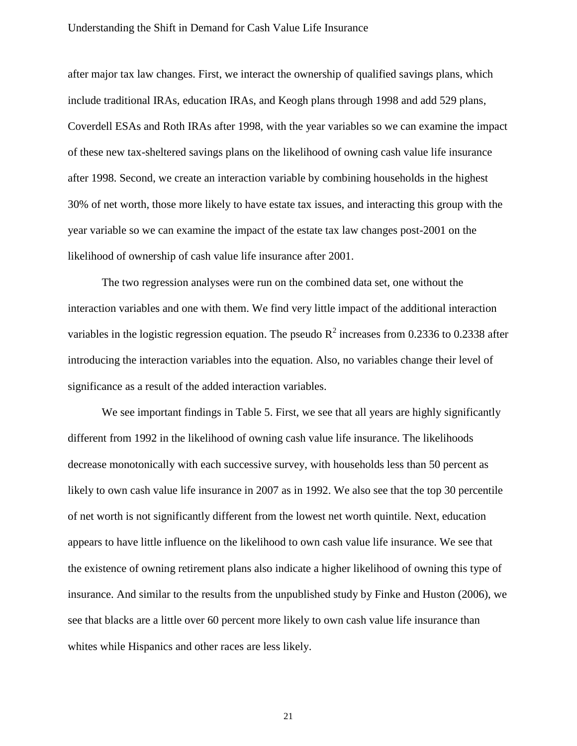after major tax law changes. First, we interact the ownership of qualified savings plans, which include traditional IRAs, education IRAs, and Keogh plans through 1998 and add 529 plans, Coverdell ESAs and Roth IRAs after 1998, with the year variables so we can examine the impact of these new tax-sheltered savings plans on the likelihood of owning cash value life insurance after 1998. Second, we create an interaction variable by combining households in the highest 30% of net worth, those more likely to have estate tax issues, and interacting this group with the year variable so we can examine the impact of the estate tax law changes post-2001 on the likelihood of ownership of cash value life insurance after 2001.

The two regression analyses were run on the combined data set, one without the interaction variables and one with them. We find very little impact of the additional interaction variables in the logistic regression equation. The pseudo  $R^2$  increases from 0.2336 to 0.2338 after introducing the interaction variables into the equation. Also, no variables change their level of significance as a result of the added interaction variables.

We see important findings in Table 5. First, we see that all years are highly significantly different from 1992 in the likelihood of owning cash value life insurance. The likelihoods decrease monotonically with each successive survey, with households less than 50 percent as likely to own cash value life insurance in 2007 as in 1992. We also see that the top 30 percentile of net worth is not significantly different from the lowest net worth quintile. Next, education appears to have little influence on the likelihood to own cash value life insurance. We see that the existence of owning retirement plans also indicate a higher likelihood of owning this type of insurance. And similar to the results from the unpublished study by Finke and Huston (2006), we see that blacks are a little over 60 percent more likely to own cash value life insurance than whites while Hispanics and other races are less likely.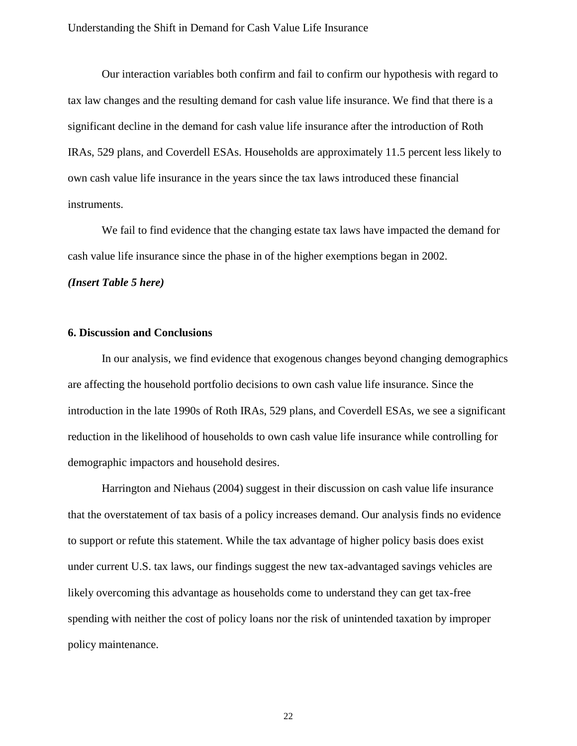Our interaction variables both confirm and fail to confirm our hypothesis with regard to tax law changes and the resulting demand for cash value life insurance. We find that there is a significant decline in the demand for cash value life insurance after the introduction of Roth IRAs, 529 plans, and Coverdell ESAs. Households are approximately 11.5 percent less likely to own cash value life insurance in the years since the tax laws introduced these financial instruments.

We fail to find evidence that the changing estate tax laws have impacted the demand for cash value life insurance since the phase in of the higher exemptions began in 2002.

*(Insert Table 5 here)*

# **6. Discussion and Conclusions**

In our analysis, we find evidence that exogenous changes beyond changing demographics are affecting the household portfolio decisions to own cash value life insurance. Since the introduction in the late 1990s of Roth IRAs, 529 plans, and Coverdell ESAs, we see a significant reduction in the likelihood of households to own cash value life insurance while controlling for demographic impactors and household desires.

Harrington and Niehaus (2004) suggest in their discussion on cash value life insurance that the overstatement of tax basis of a policy increases demand. Our analysis finds no evidence to support or refute this statement. While the tax advantage of higher policy basis does exist under current U.S. tax laws, our findings suggest the new tax-advantaged savings vehicles are likely overcoming this advantage as households come to understand they can get tax-free spending with neither the cost of policy loans nor the risk of unintended taxation by improper policy maintenance.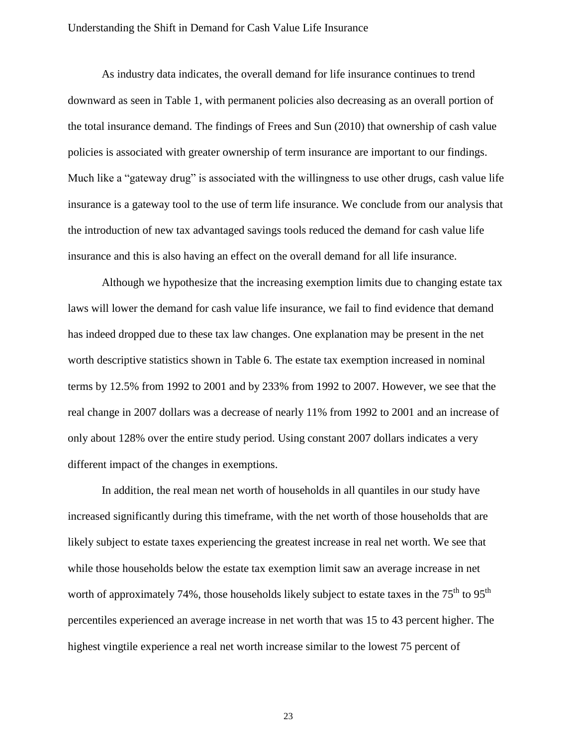As industry data indicates, the overall demand for life insurance continues to trend downward as seen in Table 1, with permanent policies also decreasing as an overall portion of the total insurance demand. The findings of Frees and Sun (2010) that ownership of cash value policies is associated with greater ownership of term insurance are important to our findings. Much like a "gateway drug" is associated with the willingness to use other drugs, cash value life insurance is a gateway tool to the use of term life insurance. We conclude from our analysis that the introduction of new tax advantaged savings tools reduced the demand for cash value life insurance and this is also having an effect on the overall demand for all life insurance.

Although we hypothesize that the increasing exemption limits due to changing estate tax laws will lower the demand for cash value life insurance, we fail to find evidence that demand has indeed dropped due to these tax law changes. One explanation may be present in the net worth descriptive statistics shown in Table 6. The estate tax exemption increased in nominal terms by 12.5% from 1992 to 2001 and by 233% from 1992 to 2007. However, we see that the real change in 2007 dollars was a decrease of nearly 11% from 1992 to 2001 and an increase of only about 128% over the entire study period. Using constant 2007 dollars indicates a very different impact of the changes in exemptions.

In addition, the real mean net worth of households in all quantiles in our study have increased significantly during this timeframe, with the net worth of those households that are likely subject to estate taxes experiencing the greatest increase in real net worth. We see that while those households below the estate tax exemption limit saw an average increase in net worth of approximately 74%, those households likely subject to estate taxes in the 75<sup>th</sup> to 95<sup>th</sup> percentiles experienced an average increase in net worth that was 15 to 43 percent higher. The highest vingtile experience a real net worth increase similar to the lowest 75 percent of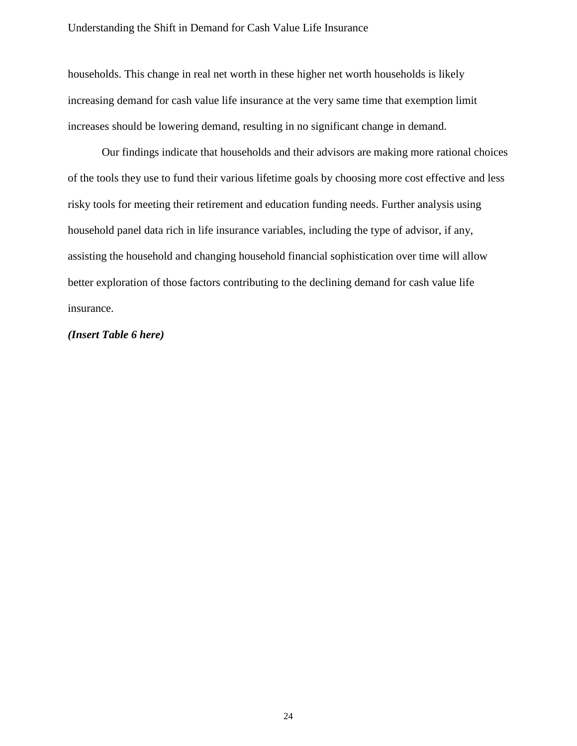households. This change in real net worth in these higher net worth households is likely increasing demand for cash value life insurance at the very same time that exemption limit increases should be lowering demand, resulting in no significant change in demand.

Our findings indicate that households and their advisors are making more rational choices of the tools they use to fund their various lifetime goals by choosing more cost effective and less risky tools for meeting their retirement and education funding needs. Further analysis using household panel data rich in life insurance variables, including the type of advisor, if any, assisting the household and changing household financial sophistication over time will allow better exploration of those factors contributing to the declining demand for cash value life insurance.

# *(Insert Table 6 here)*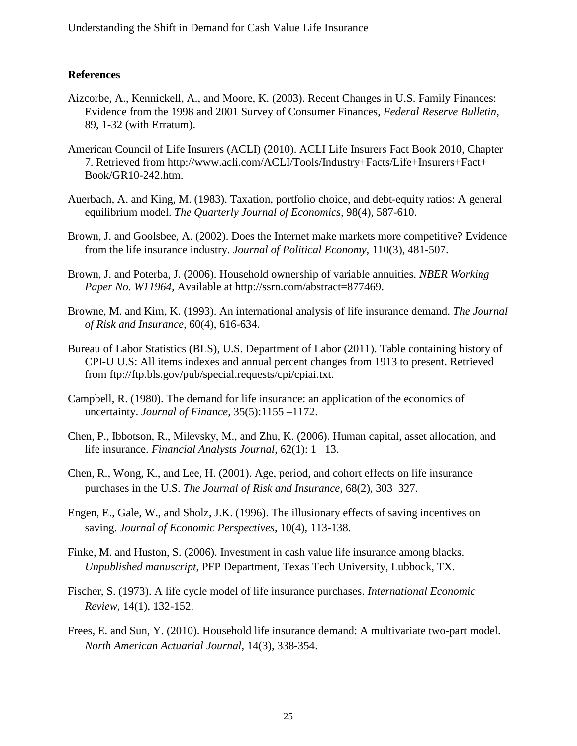# **References**

- Aizcorbe, A., Kennickell, A., and Moore, K. (2003). Recent Changes in U.S. Family Finances: Evidence from the 1998 and 2001 Survey of Consumer Finances, *Federal Reserve Bulletin*, 89, 1-32 (with Erratum).
- American Council of Life Insurers (ACLI) (2010). ACLI Life Insurers Fact Book 2010, Chapter 7. Retrieved from http://www.acli.com/ACLI/Tools/Industry+Facts/Life+Insurers+Fact+ Book/GR10-242.htm.
- Auerbach, A. and King, M. (1983). Taxation, portfolio choice, and debt-equity ratios: A general equilibrium model. *The Quarterly Journal of Economics,* 98(4), 587-610.
- Brown, J. and Goolsbee, A. (2002). Does the Internet make markets more competitive? Evidence from the life insurance industry. *Journal of Political Economy,* 110(3), 481-507.
- Brown, J. and Poterba, J. (2006). Household ownership of variable annuities. *NBER Working Paper No. W11964,* Available at http://ssrn.com/abstract=877469.
- Browne, M. and Kim, K. (1993). An international analysis of life insurance demand. *The Journal of Risk and Insurance,* 60(4), 616-634.
- Bureau of Labor Statistics (BLS), U.S. Department of Labor (2011). Table containing history of CPI-U U.S: All items indexes and annual percent changes from 1913 to present. Retrieved from ftp://ftp.bls.gov/pub/special.requests/cpi/cpiai.txt.
- Campbell, R. (1980). The demand for life insurance: an application of the economics of uncertainty. *Journal of Finance*, 35(5):1155 –1172.
- Chen, P., Ibbotson, R., Milevsky, M., and Zhu, K. (2006). Human capital, asset allocation, and life insurance. *Financial Analysts Journal*, 62(1): 1 –13.
- Chen, R., Wong, K., and Lee, H. (2001). Age, period, and cohort effects on life insurance purchases in the U.S. *The Journal of Risk and Insurance*, 68(2), 303–327.
- Engen, E., Gale, W., and Sholz, J.K. (1996). The illusionary effects of saving incentives on saving. *Journal of Economic Perspectives*, 10(4), 113-138.
- Finke, M. and Huston, S. (2006). Investment in cash value life insurance among blacks. *Unpublished manuscript*, PFP Department, Texas Tech University, Lubbock, TX.
- Fischer, S. (1973). A life cycle model of life insurance purchases. *International Economic Review*, 14(1), 132-152.
- Frees, E. and Sun, Y. (2010). Household life insurance demand: A multivariate two-part model. *North American Actuarial Journal*, 14(3), 338-354.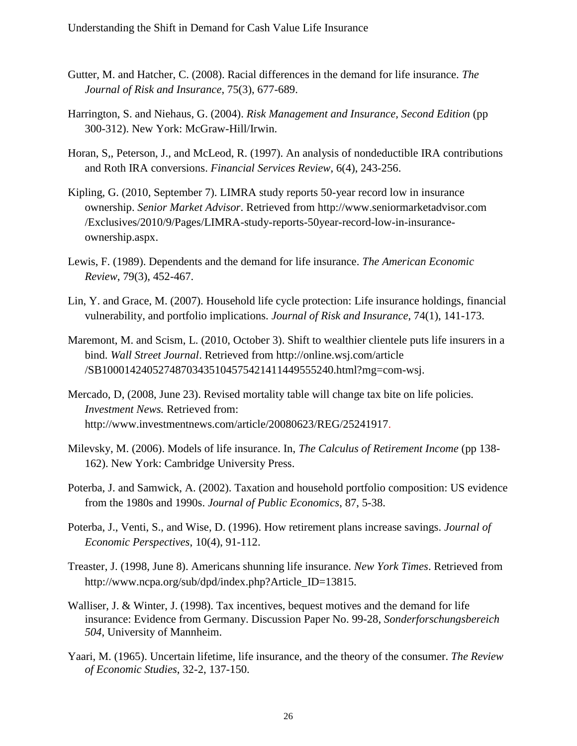- Gutter, M. and Hatcher, C. (2008). Racial differences in the demand for life insurance. *The Journal of Risk and Insurance*, 75(3), 677-689.
- Harrington, S. and Niehaus, G. (2004). *Risk Management and Insurance, Second Edition* (pp 300-312). New York: McGraw-Hill/Irwin.
- Horan, S,, Peterson, J., and McLeod, R. (1997). An analysis of nondeductible IRA contributions and Roth IRA conversions. *Financial Services Review*, 6(4), 243-256.
- Kipling, G. (2010, September 7). LIMRA study reports 50-year record low in insurance ownership. *Senior Market Advisor*. Retrieved from http://www.seniormarketadvisor.com /Exclusives/2010/9/Pages/LIMRA-study-reports-50year-record-low-in-insuranceownership.aspx.
- Lewis, F. (1989). Dependents and the demand for life insurance. *The American Economic Review*, 79(3), 452-467.
- Lin, Y. and Grace, M. (2007). Household life cycle protection: Life insurance holdings, financial vulnerability, and portfolio implications. *Journal of Risk and Insurance*, 74(1), 141-173.
- Maremont, M. and Scism, L. (2010, October 3). Shift to wealthier clientele puts life insurers in a bind. *Wall Street Journal*. Retrieved from http://online.wsj.com/article /SB10001424052748703435104575421411449555240.html?mg=com-wsj.
- Mercado, D, (2008, June 23). Revised mortality table will change tax bite on life policies. *Investment News.* Retrieved from: http://www.investmentnews.com/article/20080623/REG/25241917.
- Milevsky, M. (2006). Models of life insurance. In, *The Calculus of Retirement Income* (pp 138- 162). New York: Cambridge University Press.
- Poterba, J. and Samwick, A. (2002). Taxation and household portfolio composition: US evidence from the 1980s and 1990s. *Journal of Public Economics*, 87, 5-38.
- Poterba, J., Venti, S., and Wise, D. (1996). How retirement plans increase savings. *Journal of Economic Perspectives*, 10(4), 91-112.
- Treaster, J. (1998, June 8). Americans shunning life insurance. *New York Times*. Retrieved from http://www.ncpa.org/sub/dpd/index.php?Article\_ID=13815.
- Walliser, J. & Winter, J. (1998). Tax incentives, bequest motives and the demand for life insurance: Evidence from Germany. Discussion Paper No. 99-28, *Sonderforschungsbereich 504*, University of Mannheim.
- Yaari, M. (1965). Uncertain lifetime, life insurance, and the theory of the consumer. *The Review of Economic Studies*, 32-2, 137-150.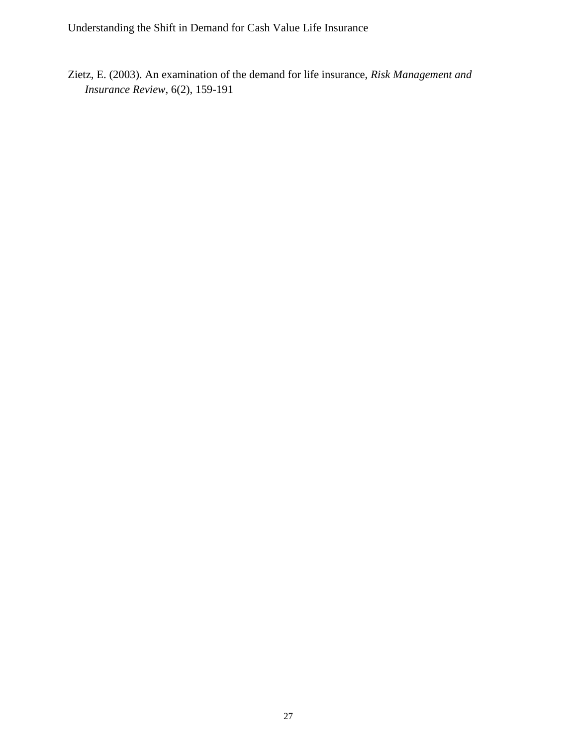Zietz, E. (2003). An examination of the demand for life insurance, *Risk Management and Insurance Review*, 6(2), 159-191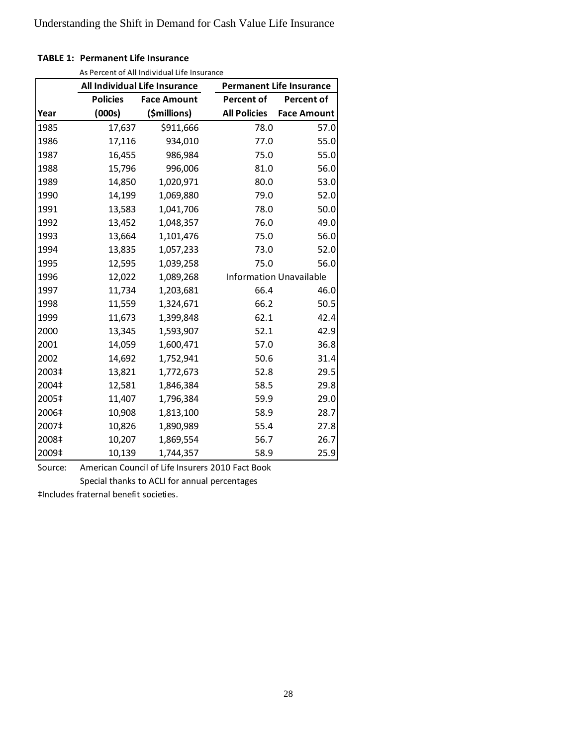# **TABLE 1: Permanent Life Insurance**

As Percent of All Individual Life Insurance

|       |                 | As i credit of All marviagal Life msarance<br>All Individual Life Insurance | <b>Permanent Life Insurance</b> |                                |  |  |  |
|-------|-----------------|-----------------------------------------------------------------------------|---------------------------------|--------------------------------|--|--|--|
|       | <b>Policies</b> | <b>Face Amount</b>                                                          | <b>Percent of</b>               | Percent of                     |  |  |  |
| Year  | (000s)          | (\$millions)                                                                | <b>All Policies</b>             | <b>Face Amount</b>             |  |  |  |
| 1985  | 17,637          | \$911,666                                                                   | 78.0                            | 57.0                           |  |  |  |
| 1986  | 17,116          | 934,010                                                                     | 77.0                            | 55.0                           |  |  |  |
| 1987  | 16,455          | 986,984                                                                     | 75.0                            | 55.0                           |  |  |  |
| 1988  | 15,796          | 996,006                                                                     | 81.0                            | 56.0                           |  |  |  |
| 1989  | 14,850          | 1,020,971                                                                   | 80.0                            | 53.0                           |  |  |  |
| 1990  | 14,199          | 1,069,880                                                                   | 79.0                            | 52.0                           |  |  |  |
| 1991  | 13,583          | 1,041,706                                                                   | 78.0                            | 50.0                           |  |  |  |
| 1992  | 13,452          | 1,048,357                                                                   | 76.0                            | 49.0                           |  |  |  |
| 1993  | 13,664          | 1,101,476                                                                   | 75.0                            | 56.0                           |  |  |  |
| 1994  | 13,835          | 1,057,233                                                                   | 73.0                            | 52.0                           |  |  |  |
| 1995  | 12,595          | 1,039,258                                                                   | 75.0                            | 56.0                           |  |  |  |
| 1996  | 12,022          | 1,089,268                                                                   |                                 | <b>Information Unavailable</b> |  |  |  |
| 1997  | 11,734          | 1,203,681                                                                   | 66.4                            | 46.0                           |  |  |  |
| 1998  | 11,559          | 1,324,671                                                                   | 66.2                            | 50.5                           |  |  |  |
| 1999  | 11,673          | 1,399,848                                                                   | 62.1                            | 42.4                           |  |  |  |
| 2000  | 13,345          | 1,593,907                                                                   | 52.1                            | 42.9                           |  |  |  |
| 2001  | 14,059          | 1,600,471                                                                   | 57.0                            | 36.8                           |  |  |  |
| 2002  | 14,692          | 1,752,941                                                                   | 50.6                            | 31.4                           |  |  |  |
| 2003‡ | 13,821          | 1,772,673                                                                   | 52.8                            | 29.5                           |  |  |  |
| 2004‡ | 12,581          | 1,846,384                                                                   | 58.5                            | 29.8                           |  |  |  |
| 2005‡ | 11,407          | 1,796,384                                                                   | 59.9                            | 29.0                           |  |  |  |
| 2006‡ | 10,908          | 1,813,100                                                                   | 58.9                            | 28.7                           |  |  |  |
| 2007‡ | 10,826          | 1,890,989                                                                   | 55.4                            | 27.8                           |  |  |  |
| 2008‡ | 10,207          | 1,869,554                                                                   | 56.7                            | 26.7                           |  |  |  |
| 2009‡ | 10,139          | 1,744,357                                                                   | 58.9                            | 25.9                           |  |  |  |

Source: American Council of Life Insurers 2010 Fact Book Special thanks to ACLI for annual percentages

‡Includes fraternal benefit societies.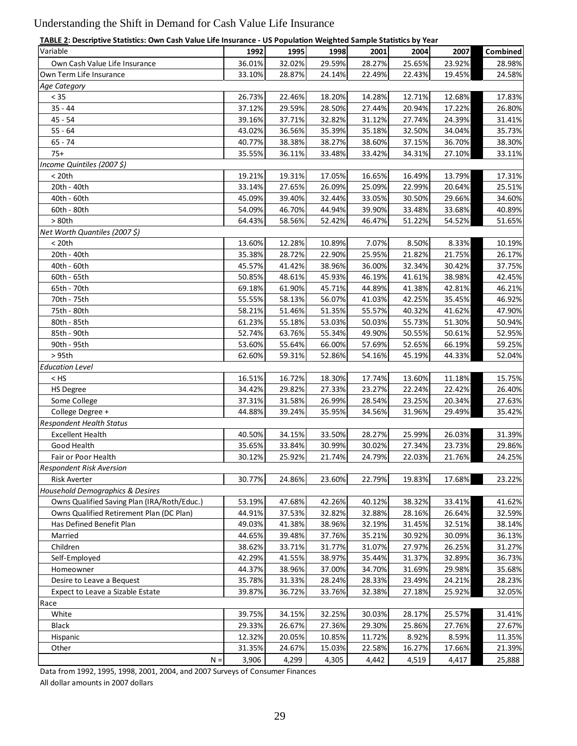| TABLE 2: Descriptive Statistics: Own Cash Value Life Insurance - US Population Weighted Sample Statistics by Year |  |
|-------------------------------------------------------------------------------------------------------------------|--|
|                                                                                                                   |  |

| TABLE 2: Descriptive Statistics: Own Cash Value Life Insurance - US Population Weighted Sample Statistics by Year |        |        |        |        |        |        |                 |
|-------------------------------------------------------------------------------------------------------------------|--------|--------|--------|--------|--------|--------|-----------------|
| Variable                                                                                                          | 1992   | 1995   | 1998   | 2001   | 2004   | 2007   | <b>Combined</b> |
| Own Cash Value Life Insurance                                                                                     | 36.01% | 32.02% | 29.59% | 28.27% | 25.65% | 23.92% | 28.98%          |
| Own Term Life Insurance                                                                                           | 33.10% | 28.87% | 24.14% | 22.49% | 22.43% | 19.45% | 24.58%          |
| Age Category                                                                                                      |        |        |        |        |        |        |                 |
| $< 35$                                                                                                            | 26.73% | 22.46% | 18.20% | 14.28% | 12.71% | 12.68% | 17.83%          |
| $35 - 44$                                                                                                         | 37.12% | 29.59% | 28.50% | 27.44% | 20.94% | 17.22% | 26.80%          |
| $45 - 54$                                                                                                         | 39.16% | 37.71% | 32.82% | 31.12% | 27.74% | 24.39% | 31.41%          |
| $55 - 64$                                                                                                         | 43.02% | 36.56% | 35.39% | 35.18% | 32.50% | 34.04% | 35.73%          |
| $65 - 74$                                                                                                         | 40.77% | 38.38% | 38.27% | 38.60% | 37.15% | 36.70% | 38.30%          |
| $75+$                                                                                                             | 35.55% | 36.11% | 33.48% | 33.42% | 34.31% | 27.10% | 33.11%          |
| Income Quintiles (2007 \$)                                                                                        |        |        |        |        |        |        |                 |
| < 20th                                                                                                            | 19.21% | 19.31% | 17.05% | 16.65% | 16.49% | 13.79% | 17.31%          |
| 20th - 40th                                                                                                       | 33.14% | 27.65% | 26.09% | 25.09% | 22.99% | 20.64% | 25.51%          |
| 40th - 60th                                                                                                       | 45.09% | 39.40% | 32.44% | 33.05% | 30.50% | 29.66% | 34.60%          |
| 60th - 80th                                                                                                       | 54.09% | 46.70% | 44.94% | 39.90% | 33.48% | 33.68% | 40.89%          |
| > 80th                                                                                                            | 64.43% | 58.56% | 52.42% | 46.47% | 51.22% | 54.52% | 51.65%          |
| Net Worth Quantiles (2007 \$)                                                                                     |        |        |        |        |        |        |                 |
| < 20th                                                                                                            | 13.60% | 12.28% | 10.89% | 7.07%  | 8.50%  | 8.33%  | 10.19%          |
| 20th - 40th                                                                                                       | 35.38% | 28.72% | 22.90% | 25.95% | 21.82% | 21.75% | 26.17%          |
| 40th - 60th                                                                                                       | 45.57% | 41.42% | 38.96% | 36.00% | 32.34% | 30.42% | 37.75%          |
| 60th - 65th                                                                                                       | 50.85% | 48.61% | 45.93% | 46.19% | 41.61% | 38.98% | 42.45%          |
| 65th - 70th                                                                                                       | 69.18% | 61.90% | 45.71% | 44.89% | 41.38% | 42.81% | 46.21%          |
| 70th - 75th                                                                                                       | 55.55% | 58.13% | 56.07% | 41.03% | 42.25% | 35.45% | 46.92%          |
| 75th - 80th                                                                                                       | 58.21% | 51.46% | 51.35% | 55.57% | 40.32% | 41.62% | 47.90%          |
| 80th - 85th                                                                                                       | 61.23% | 55.18% | 53.03% | 50.03% | 55.73% | 51.30% | 50.94%          |
| 85th - 90th                                                                                                       | 52.74% | 63.76% | 55.34% | 49.90% | 50.55% | 50.61% | 52.95%          |
| 90th - 95th                                                                                                       | 53.60% | 55.64% | 66.00% | 57.69% | 52.65% | 66.19% | 59.25%          |
| > 95th                                                                                                            | 62.60% | 59.31% | 52.86% | 54.16% | 45.19% | 44.33% | 52.04%          |
| <b>Education Level</b>                                                                                            |        |        |        |        |        |        |                 |
| $<$ HS                                                                                                            | 16.51% | 16.72% | 18.30% | 17.74% | 13.60% | 11.18% | 15.75%          |
| <b>HS Degree</b>                                                                                                  | 34.42% | 29.82% | 27.33% | 23.27% | 22.24% | 22.42% | 26.40%          |
| Some College                                                                                                      | 37.31% | 31.58% | 26.99% | 28.54% | 23.25% | 20.34% | 27.63%          |
| College Degree +                                                                                                  | 44.88% | 39.24% | 35.95% | 34.56% | 31.96% | 29.49% | 35.42%          |
| <b>Respondent Health Status</b>                                                                                   |        |        |        |        |        |        |                 |
| <b>Excellent Health</b>                                                                                           | 40.50% | 34.15% | 33.50% | 28.27% | 25.99% | 26.03% | 31.39%          |
| Good Health                                                                                                       | 35.65% | 33.84% | 30.99% | 30.02% | 27.34% | 23.73% | 29.86%          |
| Fair or Poor Health                                                                                               | 30.12% | 25.92% | 21.74% | 24.79% | 22.03% | 21.76% | 24.25%          |
| <b>Respondent Risk Aversion</b>                                                                                   |        |        |        |        |        |        |                 |
| <b>Risk Averter</b>                                                                                               | 30.77% | 24.86% | 23.60% | 22.79% | 19.83% | 17.68% | 23.22%          |
| Household Demographics & Desires                                                                                  |        |        |        |        |        |        |                 |
| Owns Qualified Saving Plan (IRA/Roth/Educ.)                                                                       | 53.19% | 47.68% | 42.26% | 40.12% | 38.32% | 33.41% | 41.62%          |
| Owns Qualified Retirement Plan (DC Plan)                                                                          | 44.91% | 37.53% | 32.82% | 32.88% | 28.16% | 26.64% | 32.59%          |
| Has Defined Benefit Plan                                                                                          | 49.03% | 41.38% | 38.96% | 32.19% | 31.45% | 32.51% | 38.14%          |
|                                                                                                                   |        |        |        |        |        |        |                 |
| Married                                                                                                           | 44.65% | 39.48% | 37.76% | 35.21% | 30.92% | 30.09% | 36.13%          |
| Children                                                                                                          | 38.62% | 33.71% | 31.77% | 31.07% | 27.97% | 26.25% | 31.27%          |
| Self-Employed                                                                                                     | 42.29% | 41.55% | 38.97% | 35.44% | 31.37% | 32.89% | 36.73%          |
| Homeowner                                                                                                         | 44.37% | 38.96% | 37.00% | 34.70% | 31.69% | 29.98% | 35.68%          |
| Desire to Leave a Bequest                                                                                         | 35.78% | 31.33% | 28.24% | 28.33% | 23.49% | 24.21% | 28.23%          |
| Expect to Leave a Sizable Estate                                                                                  | 39.87% | 36.72% | 33.76% | 32.38% | 27.18% | 25.92% | 32.05%          |
| Race                                                                                                              |        |        |        |        |        |        |                 |
| White                                                                                                             | 39.75% | 34.15% | 32.25% | 30.03% | 28.17% | 25.57% | 31.41%          |
| <b>Black</b>                                                                                                      | 29.33% | 26.67% | 27.36% | 29.30% | 25.86% | 27.76% | 27.67%          |
| Hispanic                                                                                                          | 12.32% | 20.05% | 10.85% | 11.72% | 8.92%  | 8.59%  | 11.35%          |
| Other                                                                                                             | 31.35% | 24.67% | 15.03% | 22.58% | 16.27% | 17.66% | 21.39%          |
| $N =$                                                                                                             | 3,906  | 4,299  | 4,305  | 4,442  | 4,519  | 4,417  | 25,888          |

Data from 1992, 1995, 1998, 2001, 2004, and 2007 Surveys of Consumer Finances

All dollar amounts in 2007 dollars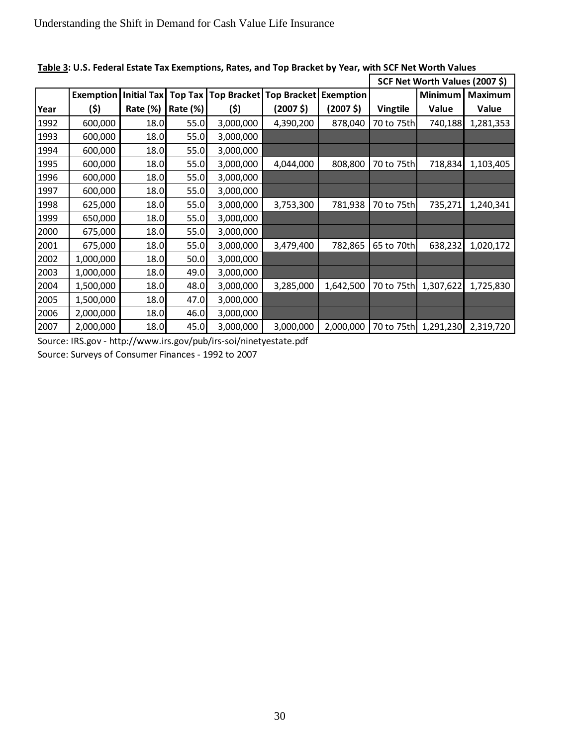|      |           |                    |                |           |                         |           | SCF Net Worth Values (2007 \$) |                           |              |  |
|------|-----------|--------------------|----------------|-----------|-------------------------|-----------|--------------------------------|---------------------------|--------------|--|
|      | Exemption | <b>Initial Tax</b> | <b>Top Tax</b> |           | Top Bracket Top Bracket | Exemption |                                | Minimum<br><b>Maximum</b> |              |  |
| Year | (\$)      | Rate (%)           | Rate (%)       | (\$)      | (2007 <sup>5</sup> )    | (2007 \$) | <b>Vingtile</b>                | Value                     | <b>Value</b> |  |
| 1992 | 600,000   | 18.0               | 55.0           | 3,000,000 | 4,390,200               | 878,040   | 70 to 75th                     | 740,188                   | 1,281,353    |  |
| 1993 | 600,000   | 18.0               | 55.0           | 3,000,000 |                         |           |                                |                           |              |  |
| 1994 | 600,000   | 18.0               | 55.0           | 3,000,000 |                         |           |                                |                           |              |  |
| 1995 | 600,000   | 18.0               | 55.0           | 3,000,000 | 4,044,000               | 808,800   | 70 to 75th                     | 718,834                   | 1,103,405    |  |
| 1996 | 600,000   | 18.0               | 55.0           | 3,000,000 |                         |           |                                |                           |              |  |
| 1997 | 600,000   | 18.0               | 55.0           | 3,000,000 |                         |           |                                |                           |              |  |
| 1998 | 625,000   | 18.0               | 55.0           | 3,000,000 | 3,753,300               | 781,938   | 70 to 75th                     | 735,271                   | 1,240,341    |  |
| 1999 | 650,000   | 18.0               | 55.0           | 3,000,000 |                         |           |                                |                           |              |  |
| 2000 | 675,000   | 18.0               | 55.0           | 3,000,000 |                         |           |                                |                           |              |  |
| 2001 | 675,000   | 18.0               | 55.0           | 3,000,000 | 3,479,400               | 782,865   | 65 to 70th                     | 638,232                   | 1,020,172    |  |
| 2002 | 1,000,000 | 18.0               | 50.0           | 3,000,000 |                         |           |                                |                           |              |  |
| 2003 | 1,000,000 | 18.0               | 49.0           | 3,000,000 |                         |           |                                |                           |              |  |
| 2004 | 1,500,000 | 18.0               | 48.0           | 3,000,000 | 3,285,000               | 1,642,500 | 70 to 75th                     | 1,307,622                 | 1,725,830    |  |
| 2005 | 1,500,000 | 18.0               | 47.0           | 3,000,000 |                         |           |                                |                           |              |  |
| 2006 | 2,000,000 | 18.0               | 46.0           | 3,000,000 |                         |           |                                |                           |              |  |
| 2007 | 2,000,000 | 18.0               | 45.0           | 3,000,000 | 3,000,000               | 2,000,000 | 70 to 75th                     | 1,291,230                 | 2,319,720    |  |

**Table 3: U.S. Federal Estate Tax Exemptions, Rates, and Top Bracket by Year, with SCF Net Worth Values**

Source: IRS.gov - http://www.irs.gov/pub/irs-soi/ninetyestate.pdf

Source: Surveys of Consumer Finances - 1992 to 2007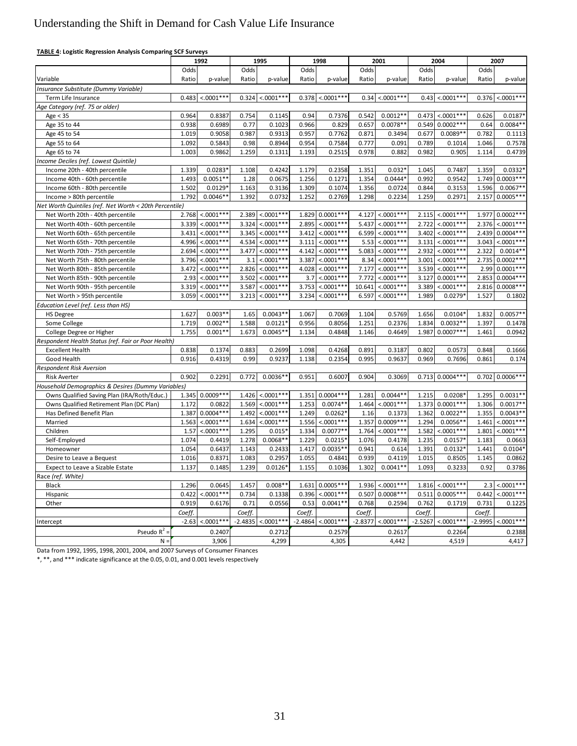| <b>TABLE 4: Logistic Regression Analysis Comparing SCF Surveys</b> |
|--------------------------------------------------------------------|
|                                                                    |

|                                                                      |                | 1992                 |                | 1995                        | 1998           |                      | 2001           |                             | 2004           |                       | 2007           |                          |
|----------------------------------------------------------------------|----------------|----------------------|----------------|-----------------------------|----------------|----------------------|----------------|-----------------------------|----------------|-----------------------|----------------|--------------------------|
|                                                                      | Odds           |                      | Odds           |                             | Odds           |                      | Odds           |                             | Odds           |                       | Odds           |                          |
| Variable                                                             | Ratio          | p-value              | Ratio          | p-value                     | Ratio          | p-value              | Ratio          | p-value                     | Ratio          | p-value               | Ratio          | p-value                  |
| Insurance Substitute (Dummy Variable)                                |                |                      |                |                             |                |                      |                |                             |                |                       |                |                          |
| Term Life Insurance                                                  | 0.483          | $< 0.001***$         | 0.324          | $< 0.001***$                | 0.378          | $< 0.0001***$        | 0.34           | $< .0001***$                | 0.43           | $< 0.0001***$         | 0.376          | $< .0001***$             |
| Age Category (ref. 75 or older)                                      |                |                      |                |                             |                |                      |                |                             |                |                       |                |                          |
| Age $<$ 35                                                           | 0.964          | 0.8387               | 0.754          | 0.1145                      | 0.94           | 0.7376               | 0.542          | $0.0012**$                  | 0.473          | $< .0001***$          | 0.626          | $0.0187*$                |
| Age 35 to 44                                                         | 0.938          | 0.6989               | 0.77           | 0.1023                      | 0.966          | 0.829                | 0.657          | $0.0078**$                  | 0.549          | $0.0002***$           | 0.64           | $0.0084**$               |
| Age 45 to 54                                                         | 1.019          | 0.9058               | 0.987          | 0.9313                      | 0.957          | 0.7762               | 0.871          | 0.3494                      | 0.677          | $0.0089**$            | 0.782          | 0.1113                   |
| Age 55 to 64                                                         | 1.092          | 0.5843               | 0.98           | 0.8944                      | 0.954          | 0.7584               | 0.777          | 0.091                       | 0.789          | 0.1014                | 1.046          | 0.7578                   |
| Age 65 to 74                                                         | 1.003          | 0.9862               | 1.259          | 0.1311                      | 1.193          | 0.2515               | 0.978          | 0.882                       | 0.982          | 0.905                 | 1.114          | 0.4739                   |
| Income Deciles (ref. Lowest Quintile)                                |                |                      |                |                             |                |                      |                |                             |                |                       |                |                          |
| Income 20th - 40th percentile                                        | 1.339          | $0.0283*$            | 1.108          | 0.4242                      | 1.179          | 0.2358               | 1.351          | 0.032                       | 1.045          | 0.7487                | 1.359          | $0.0332*$                |
| Income 40th - 60th percentile                                        | 1.493          | $0.0051**$           | 1.28           | 0.0675                      | 1.256          | 0.1271               | 1.354          | $0.0444*$                   | 0.992          | 0.9542                | 1.749          | $0.0003***$              |
| Income 60th - 80th percentile                                        | 1.502          | 0.0129               | 1.163          | 0.3136                      | 1.309          | 0.1074               | 1.356          | 0.0724                      | 0.844          | 0.3153                | 1.596          | $0.0067**$               |
| Income > 80th percentile                                             | 1.792          | $0.0046**$           | 1.392          | 0.0732                      | 1.252          | 0.2769               | 1.298          | 0.2234                      | 1.259          | 0.2971                | 2.157          | $0.0005***$              |
| Net Worth Quintiles (ref. Net Worth < 20th Percentile)               |                |                      |                |                             |                |                      |                |                             |                |                       |                |                          |
| Net Worth 20th - 40th percentile                                     | 2.768          | $< 0001***$          | 2.389          | $< 0.001$ ***               | 1.829          | $0.0001***$          | 4.127          | $< .0001$ **                | 2.115          | $< 0.001$ **'         | 1.977          | $0.0002***$              |
| Net Worth 40th - 60th percentile                                     | 3.339          | $< 0.0001$ ***       | 3.324          | $< 0.0001$ **               | 2.895          | $< 0.0001$ ***       | 5.437          | $< .0001$ **                | 2.722          | $< 0.0001$ ***        | 2.376          | $< 0.001***$             |
| Net Worth 60th - 65th percentile                                     | 3.431          | $< 0.001$ ***        | 3.345          | $< 0.001$ **                | 3.412          | $< 0.001$ ***        | 6.599          | $< 0.001$ **                | 3.402          | $< 0.001$ **          | 2.439          | $0.0004***$              |
| Net Worth 65th - 70th percentile                                     | 4.996          | $< .0001$ ***        | 4.534          | $< 0.0001$ **               | 3.111          | $< 0.001$ ***        | 5.53           | $< 0.0001$ **               | 3.131          | $< 0001***$           | 3.043          | $< .0001***$             |
| Net Worth 70th - 75th percentile                                     | 2.694          | $< .0001***$         | 3.477          | $< .0001***$                | 4.142          | $< 0.001$ ***        | 5.083          | $< .0001***$                | 2.932          | $< .0001***$          | 2.322          | $0.0014**$               |
| Net Worth 75th - 80th percentile                                     | 3.796          | $< 0001$ **          | 3.1            | $< 0.0001$ **               | 3.387          | $< 0.001$ ***        | 8.34           | $< 0.001$ **                | 3.001          | $< 0.001$ **'         | 2.735          | $0.0002***$              |
| Net Worth 80th - 85th percentile                                     | 3.472          | $< 0.0001***$        | 2.826          | $< 0.0001$ **'              | 4.028          | $< 0.0001***$        | 7.177          | $< .0001***$                | 3.539          | $< 0.001***$          | 2.99           | $0.0001***$              |
| Net Worth 85th - 90th percentile                                     | 2.93           | $< .0001$ **         | 3.502          | $< 0.0001$ **               | 3.7            | $< 0.0001$ **        | 7.772          | $< .0001**$                 | 3.127          | $0.0001**$            | 2.853          | $0.0004***$              |
| Net Worth 90th - 95th percentile                                     | 3.319          | $< .0001***$         | 3.587          | $< .0001***$                | 3.753          | $< 0.001***$         | 10.641         | $< 0.001$ ***               | 3.389          | $< .0001***$          | 2.816          | $0.0008***$              |
| Net Worth > 95th percentile                                          | 3.059          | $< 0001$ **          | 3.213          | $< 0.001**$                 | 3.234          | $< .0001***$         | 6.597          | $< 0.001$ **                | 1.989          | 0.0279                | 1.527          | 0.1802                   |
| Education Level (ref. Less than HS)                                  |                |                      |                |                             |                |                      |                |                             |                |                       |                |                          |
| <b>HS Degree</b>                                                     | 1.627          | $0.003**$            | 1.65           | $0.0043**$                  | 1.067          | 0.7069               | 1.104          | 0.5769                      | 1.656          | $0.0104*$             | 1.832          | $0.0057**$               |
| Some College                                                         | 1.719          | $0.002**$            | 1.588          | 0.0121                      | 0.956          | 0.8056               | 1.251          | 0.2376                      | 1.834          | $0.0032**$            | 1.397          | 0.1478                   |
| College Degree or Higher                                             | 1.755          | $0.001**$            | 1.673          | $0.0045*$                   | 1.134          | 0.4848               | 1.146          | 0.4649                      | 1.987          | $0.0007**$            | 1.461          | 0.0942                   |
| Respondent Health Status (ref. Fair or Poor Health)                  |                |                      |                |                             |                |                      |                |                             |                |                       |                |                          |
| <b>Excellent Health</b>                                              | 0.838          | 0.1374               | 0.883          | 0.2699                      | 1.098          | 0.4268               | 0.891          | 0.3187                      | 0.802          | 0.0573                | 0.848          | 0.1666                   |
| Good Health                                                          | 0.916          | 0.4319               | 0.99           | 0.9237                      | 1.138          | 0.2354               | 0.995          | 0.9637                      | 0.969          | 0.7696                | 0.861          | 0.174                    |
| Respondent Risk Aversion                                             |                |                      |                |                             |                |                      |                |                             |                |                       |                |                          |
| <b>Risk Averter</b>                                                  | 0.902          | 0.2291               | 0.772          | $0.0036**$                  | 0.951          | 0.6007               | 0.904          | 0.3069                      |                | $0.713$ 0.0004***     | 0.702          | $0.0006**$               |
| Household Demographics & Desires (Dummy Variables)                   |                |                      |                |                             |                |                      |                |                             |                |                       |                |                          |
| Owns Qualified Saving Plan (IRA/Roth/Educ.)                          | 1.345          | $0.0009***$          | 1.426          | $< 0.0001$ **'              | 1.351          | $0.0004***$          | 1.281<br>1.464 | $0.0044**$<br>$< .0001$ **' | 1.215          | 0.0208<br>$0.0001***$ | 1.295          | $0.0031**$               |
| Owns Qualified Retirement Plan (DC Plan)<br>Has Defined Benefit Plan | 1.172<br>1.387 | 0.0822<br>$0.0004**$ | 1.569<br>1.492 | $< .0001***$<br>$< 0001***$ | 1.253<br>1.249 | $0.0074**$<br>0.0262 | 1.16           | 0.1373                      | 1.373<br>1.362 | $0.0022**$            | 1.306<br>1.355 | $0.0017**$<br>$0.0043**$ |
| Married                                                              | 1.563          | $< 0001$ ***         | 1.634          | $< 0001**$                  | 1.556          | $< 0001$ **          | 1.357          | $0.0009**$                  | 1.294          | $0.0056*$             | 1.461          | $< .0001***$             |
| Children                                                             | 1.57           | $< 0001$ **'         | 1.295          | 0.015                       | 1.334          | $0.0077**$           | 1.764          | $< .0001***$                | 1.582          | $< 0001$ **           | 1.801          | $< .0001***$             |
| Self-Employed                                                        | 1.074          | 0.4419               | 1.278          | $0.0068**$                  | 1.229          | 0.0215               | 1.076          | 0.4178                      | 1.235          | $0.0157*$             | 1.183          | 0.0663                   |
| Homeowner                                                            | 1.054          | 0.6437               | 1.143          | 0.2433                      | 1.417          | $0.0035**$           | 0.941          | 0.614                       | 1.391          | 0.0132                | 1.441          | $0.0104*$                |
| Desire to Leave a Bequest                                            | 1.016          | 0.8371               | 1.083          | 0.2957                      | 1.055          | 0.4841               | 0.939          | 0.4119                      | 1.015          | 0.8505                | 1.145          | 0.0862                   |
| Expect to Leave a Sizable Estate                                     | 1.137          | 0.1485               | 1.239          | 0.0126                      | 1.155          | 0.1036               | 1.302          | $0.0041**$                  | 1.093          | 0.3233                | 0.92           | 0.3786                   |
| Race (ref. White)                                                    |                |                      |                |                             |                |                      |                |                             |                |                       |                |                          |
| Black                                                                | 1.296          | 0.0645               | 1.457          | $0.008**$                   | 1.631          | $0.0005***$          | 1.936          | $< 0.001$ **'               | 1.816          | $< 0.001***$          | 2.3            | $< 0.001***$             |
| Hispanic                                                             | 0.422          | $< 0001***$          | 0.734          | 0.1338                      | 0.396          | $< 0.001$ **'        | 0.507          | $0.0008**$                  | 0.511          | $0.0005**$            | 0.442          | $< .0001***$             |
| Other                                                                | 0.919          | 0.6176               | 0.71           | 0.0556                      | 0.53           | $0.0041**$           | 0.768          | 0.2594                      | 0.762          | 0.1719                | 0.731          | 0.1225                   |
|                                                                      | Coeff.         |                      | Coeff.         |                             | Coeff.         |                      | Coeff.         |                             | Coeff.         |                       | Coeff.         |                          |
| Intercept                                                            | $-2.63$        | $< 0.001$ ***        | $-2.4835$      | $< 0.0001***$               | $-2.4864$      | $< .0001***$         | $-2.8377$      | $< 0.001$ ***               | $-2.5267$      | $< .0001***$          | $-2.9995$      | $< .0001***$             |
| Pseudo $R^2$ =                                                       |                | 0.2407               |                | 0.2712                      |                | 0.2579               |                | 0.2617                      |                | 0.2264                |                | 0.2388                   |
| $N =$                                                                |                | 3,906                |                | 4,299                       |                | 4,305                |                | 4,442                       |                | 4,519                 |                | 4,417                    |

Data from 1992, 1995, 1998, 2001, 2004, and 2007 Surveys of Consumer Finances

\*, \*\*, and \*\*\* indicate significance at the 0.05, 0.01, and 0.001 levels respectively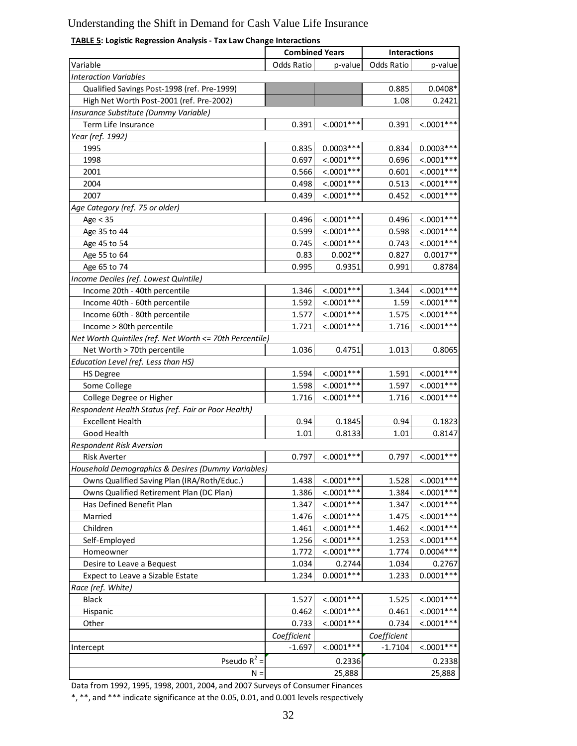# **TABLE 5: Logistic Regression Analysis - Tax Law Change Interactions**

|                                                         | <b>Combined Years</b> |                        | <b>Interactions</b> |              |  |
|---------------------------------------------------------|-----------------------|------------------------|---------------------|--------------|--|
| Variable                                                | Odds Ratio            | p-value                | <b>Odds Ratio</b>   | p-value      |  |
| <b>Interaction Variables</b>                            |                       |                        |                     |              |  |
| Qualified Savings Post-1998 (ref. Pre-1999)             |                       |                        | 0.885               | $0.0408*$    |  |
| High Net Worth Post-2001 (ref. Pre-2002)                |                       |                        | 1.08                | 0.2421       |  |
| Insurance Substitute (Dummy Variable)                   |                       |                        |                     |              |  |
| Term Life Insurance                                     | 0.391                 | $< .0001***$           | 0.391               | $< .0001***$ |  |
| Year (ref. 1992)                                        |                       |                        |                     |              |  |
| 1995                                                    | 0.835                 | $0.0003***$            | 0.834               | $0.0003***$  |  |
| 1998                                                    | 0.697                 | $< .0001***$           | 0.696               | $< .0001***$ |  |
| 2001                                                    | 0.566                 | $< .0001***$           | 0.601               | $< .0001***$ |  |
| 2004                                                    | 0.498                 | $< .0001***$           | 0.513               | $< .0001***$ |  |
| 2007                                                    | 0.439                 | $< .0001***$           | 0.452               | $< .0001***$ |  |
| Age Category (ref. 75 or older)                         |                       |                        |                     |              |  |
| Age $<$ 35                                              | 0.496                 | $< .0001***$           | 0.496               | $< .0001***$ |  |
| Age 35 to 44                                            | 0.599                 | $< .0001***$           | 0.598               | $< .0001***$ |  |
| Age 45 to 54                                            | 0.745                 | $< .0001***$           | 0.743               | $< .0001***$ |  |
| Age 55 to 64                                            | 0.83                  | $0.002**$              | 0.827               | $0.0017**$   |  |
| Age 65 to 74                                            | 0.995                 | 0.9351                 | 0.991               | 0.8784       |  |
| Income Deciles (ref. Lowest Quintile)                   |                       |                        |                     |              |  |
| Income 20th - 40th percentile                           | 1.346                 | $< .0001***$           | 1.344               | $< .0001***$ |  |
| Income 40th - 60th percentile                           | 1.592                 | $< .0001***$           | 1.59                | $< .0001***$ |  |
| Income 60th - 80th percentile                           | 1.577                 | $< .0001***$           | 1.575               | $< .0001***$ |  |
| Income > 80th percentile                                | 1.721                 | $< .0001***$           | 1.716               | $< .0001***$ |  |
| Net Worth Quintiles (ref. Net Worth <= 70th Percentile) |                       |                        |                     |              |  |
| Net Worth > 70th percentile                             | 1.036                 | 0.4751                 | 1.013               | 0.8065       |  |
| Education Level (ref. Less than HS)                     |                       |                        |                     |              |  |
| <b>HS Degree</b>                                        | 1.594                 | $< .0001***$           | 1.591               | $< .0001***$ |  |
| Some College                                            | 1.598                 | $< .0001***$           | 1.597               | $< .0001***$ |  |
| College Degree or Higher                                | 1.716                 | $< .0001***$           | 1.716               | $< .0001***$ |  |
| Respondent Health Status (ref. Fair or Poor Health)     |                       |                        |                     |              |  |
| <b>Excellent Health</b>                                 | 0.94                  | 0.1845                 | 0.94                | 0.1823       |  |
| Good Health                                             | 1.01                  | 0.8133                 | 1.01                | 0.8147       |  |
| <b>Respondent Risk Aversion</b>                         |                       |                        |                     |              |  |
| <b>Risk Averter</b>                                     | 0.797                 | $< .0001***$           | 0.797               | $< .0001***$ |  |
| Household Demographics & Desires (Dummy Variables)      |                       |                        |                     |              |  |
| Owns Qualified Saving Plan (IRA/Roth/Educ.)             | 1.438                 | $< .0001***$           | 1.528               | $< .0001***$ |  |
| Owns Qualified Retirement Plan (DC Plan)                | 1.386                 | $< .0001***$           | 1.384               | $< .0001***$ |  |
| Has Defined Benefit Plan                                | 1.347                 | $< .0001***$           | 1.347               | $< .0001***$ |  |
| Married                                                 | 1.476                 | $< 0.001***$           | 1.475               | $< .0001***$ |  |
| Children                                                | 1.461                 | $\frac{1}{2}$ .0001*** | 1.462               | $< .0001***$ |  |
| Self-Employed                                           | 1.256                 | $< .0001***$           | 1.253               | $< .0001***$ |  |
| Homeowner                                               | 1.772                 | $< .0001***$           | 1.774               | $0.0004***$  |  |
| Desire to Leave a Bequest                               | 1.034                 | 0.2744                 | 1.034               | 0.2767       |  |
| Expect to Leave a Sizable Estate                        | 1.234                 | $0.0001***$            | 1.233               | $0.0001***$  |  |
| Race (ref. White)                                       |                       |                        |                     |              |  |
| <b>Black</b>                                            | 1.527                 | $< .0001***$           | 1.525               | $< .0001***$ |  |
| Hispanic                                                | 0.462                 | $< .0001***$           | 0.461               | $< .0001***$ |  |
| Other                                                   | 0.733                 | $< .0001***$           | 0.734               | $< .0001***$ |  |
|                                                         | Coefficient           |                        | Coefficient         |              |  |
| Intercept                                               | $-1.697$              | $< .0001***$           | $-1.7104$           | $< .0001***$ |  |
| Pseudo $R^2$ =                                          |                       | 0.2336                 |                     | 0.2338       |  |
| $N =$                                                   |                       | 25,888                 |                     | 25,888       |  |
|                                                         |                       |                        |                     |              |  |

Data from 1992, 1995, 1998, 2001, 2004, and 2007 Surveys of Consumer Finances

\*, \*\*, and \*\*\* indicate significance at the 0.05, 0.01, and 0.001 levels respectively